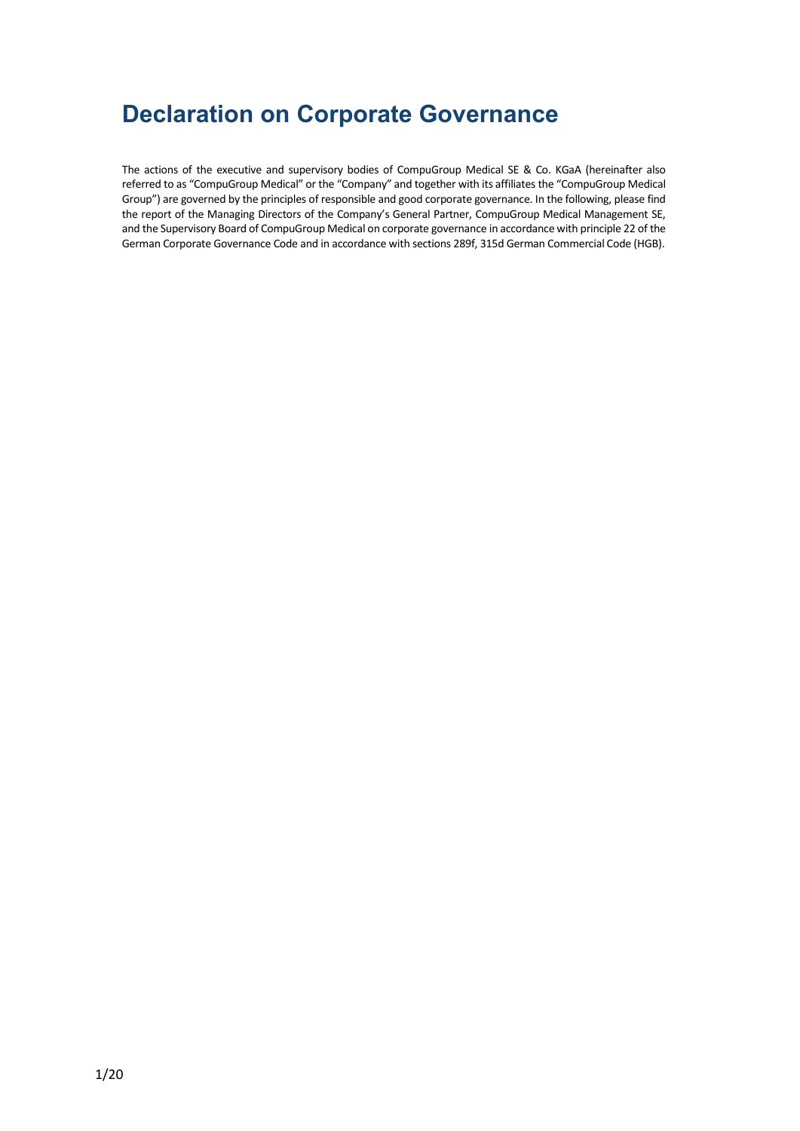# **Declaration on Corporate Governance**

The actions of the executive and supervisory bodies of CompuGroup Medical SE & Co. KGaA (hereinafter also referred to as "CompuGroup Medical" or the "Company" and together with its affiliates the "CompuGroup Medical Group") are governed by the principles of responsible and good corporate governance. In the following, please find the report of the Managing Directors of the Company's General Partner, CompuGroup Medical Management SE, and the Supervisory Board of CompuGroup Medical on corporate governance in accordance with principle 22 of the German Corporate Governance Code and in accordance with sections 289f, 315d German Commercial Code (HGB).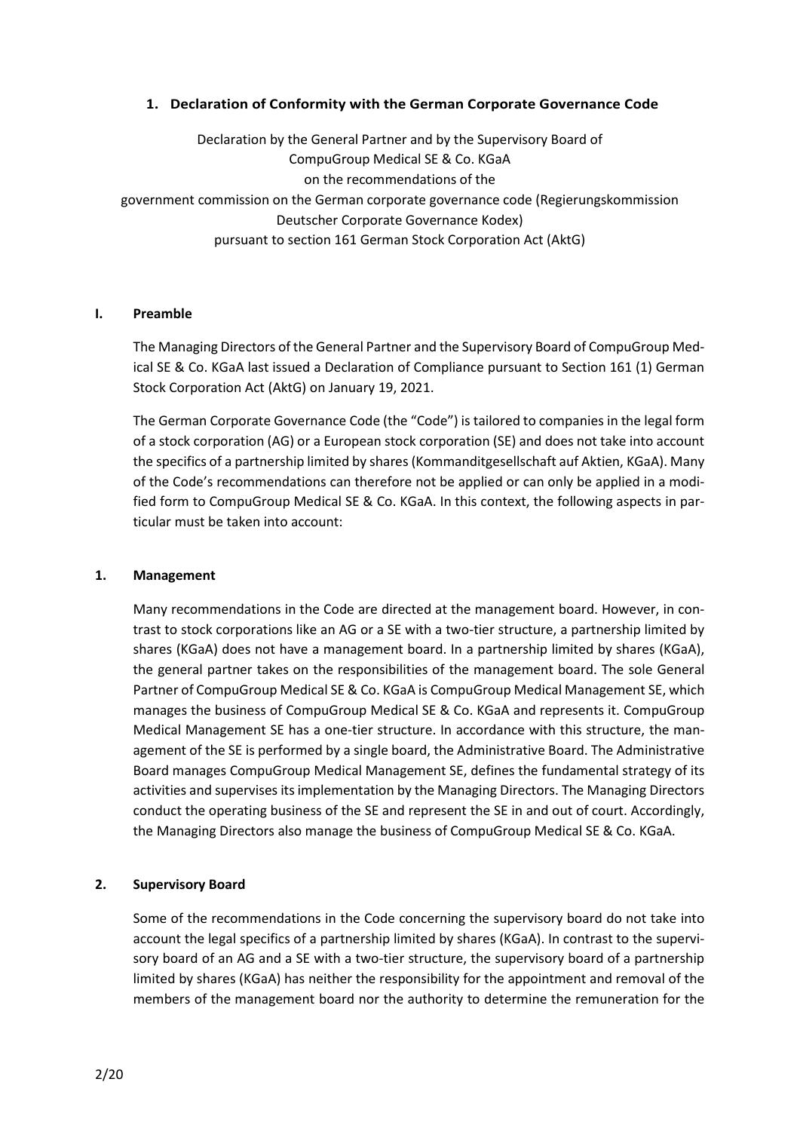# **1. Declaration of Conformity with the German Corporate Governance Code**

Declaration by the General Partner and by the Supervisory Board of CompuGroup Medical SE & Co. KGaA on the recommendations of the government commission on the German corporate governance code (Regierungskommission Deutscher Corporate Governance Kodex) pursuant to section 161 German Stock Corporation Act (AktG)

## **I. Preamble**

The Managing Directors of the General Partner and the Supervisory Board of CompuGroup Medical SE & Co. KGaA last issued a Declaration of Compliance pursuant to Section 161 (1) German Stock Corporation Act (AktG) on January 19, 2021.

The German Corporate Governance Code (the "Code") is tailored to companies in the legal form of a stock corporation (AG) or a European stock corporation (SE) and does not take into account the specifics of a partnership limited by shares (Kommanditgesellschaft auf Aktien, KGaA). Many of the Code's recommendations can therefore not be applied or can only be applied in a modified form to CompuGroup Medical SE & Co. KGaA. In this context, the following aspects in particular must be taken into account:

## **1. Management**

Many recommendations in the Code are directed at the management board. However, in contrast to stock corporations like an AG or a SE with a two-tier structure, a partnership limited by shares (KGaA) does not have a management board. In a partnership limited by shares (KGaA), the general partner takes on the responsibilities of the management board. The sole General Partner of CompuGroup Medical SE & Co. KGaA is CompuGroup Medical Management SE, which manages the business of CompuGroup Medical SE & Co. KGaA and represents it. CompuGroup Medical Management SE has a one-tier structure. In accordance with this structure, the management of the SE is performed by a single board, the Administrative Board. The Administrative Board manages CompuGroup Medical Management SE, defines the fundamental strategy of its activities and supervises its implementation by the Managing Directors. The Managing Directors conduct the operating business of the SE and represent the SE in and out of court. Accordingly, the Managing Directors also manage the business of CompuGroup Medical SE & Co. KGaA.

# **2. Supervisory Board**

Some of the recommendations in the Code concerning the supervisory board do not take into account the legal specifics of a partnership limited by shares (KGaA). In contrast to the supervisory board of an AG and a SE with a two-tier structure, the supervisory board of a partnership limited by shares (KGaA) has neither the responsibility for the appointment and removal of the members of the management board nor the authority to determine the remuneration for the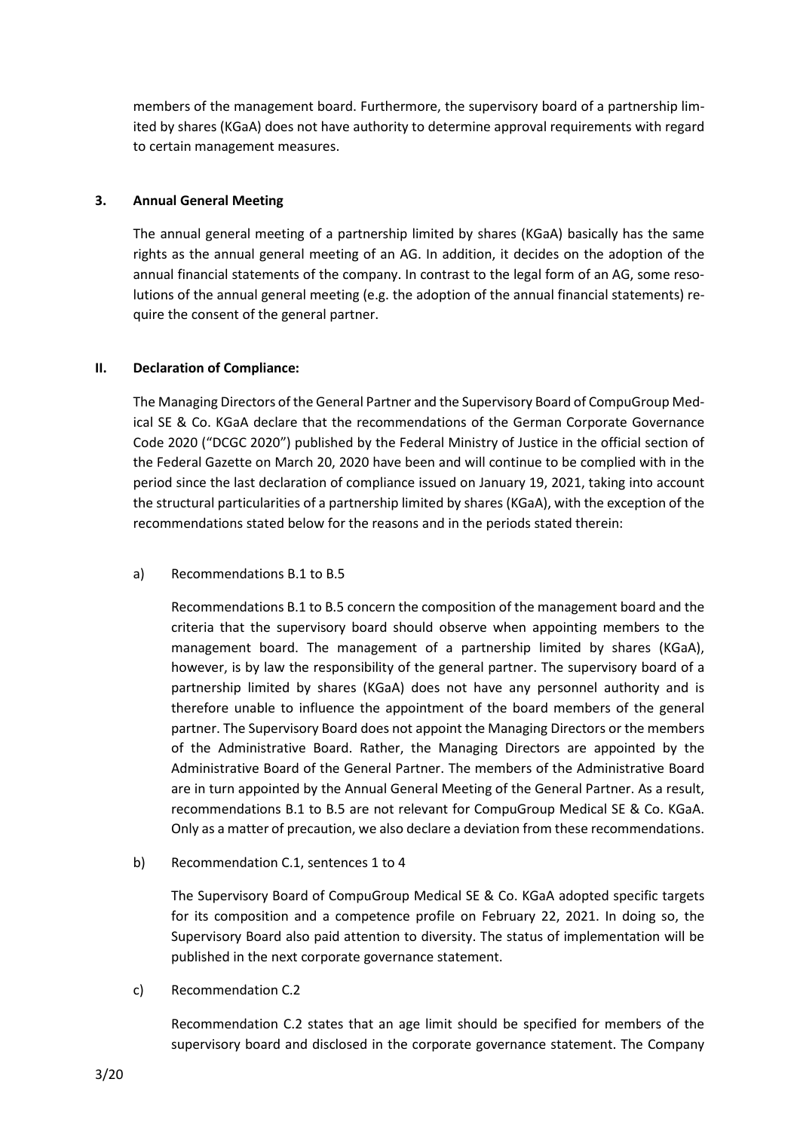members of the management board. Furthermore, the supervisory board of a partnership limited by shares (KGaA) does not have authority to determine approval requirements with regard to certain management measures.

# **3. Annual General Meeting**

The annual general meeting of a partnership limited by shares (KGaA) basically has the same rights as the annual general meeting of an AG. In addition, it decides on the adoption of the annual financial statements of the company. In contrast to the legal form of an AG, some resolutions of the annual general meeting (e.g. the adoption of the annual financial statements) require the consent of the general partner.

# **II. Declaration of Compliance:**

The Managing Directors of the General Partner and the Supervisory Board of CompuGroup Medical SE & Co. KGaA declare that the recommendations of the German Corporate Governance Code 2020 ("DCGC 2020") published by the Federal Ministry of Justice in the official section of the Federal Gazette on March 20, 2020 have been and will continue to be complied with in the period since the last declaration of compliance issued on January 19, 2021, taking into account the structural particularities of a partnership limited by shares (KGaA), with the exception of the recommendations stated below for the reasons and in the periods stated therein:

# a) Recommendations B.1 to B.5

Recommendations B.1 to B.5 concern the composition of the management board and the criteria that the supervisory board should observe when appointing members to the management board. The management of a partnership limited by shares (KGaA), however, is by law the responsibility of the general partner. The supervisory board of a partnership limited by shares (KGaA) does not have any personnel authority and is therefore unable to influence the appointment of the board members of the general partner. The Supervisory Board does not appoint the Managing Directors or the members of the Administrative Board. Rather, the Managing Directors are appointed by the Administrative Board of the General Partner. The members of the Administrative Board are in turn appointed by the Annual General Meeting of the General Partner. As a result, recommendations B.1 to B.5 are not relevant for CompuGroup Medical SE & Co. KGaA. Only as a matter of precaution, we also declare a deviation from these recommendations.

b) Recommendation C.1, sentences 1 to 4

The Supervisory Board of CompuGroup Medical SE & Co. KGaA adopted specific targets for its composition and a competence profile on February 22, 2021. In doing so, the Supervisory Board also paid attention to diversity. The status of implementation will be published in the next corporate governance statement.

c) Recommendation C.2

Recommendation C.2 states that an age limit should be specified for members of the supervisory board and disclosed in the corporate governance statement. The Company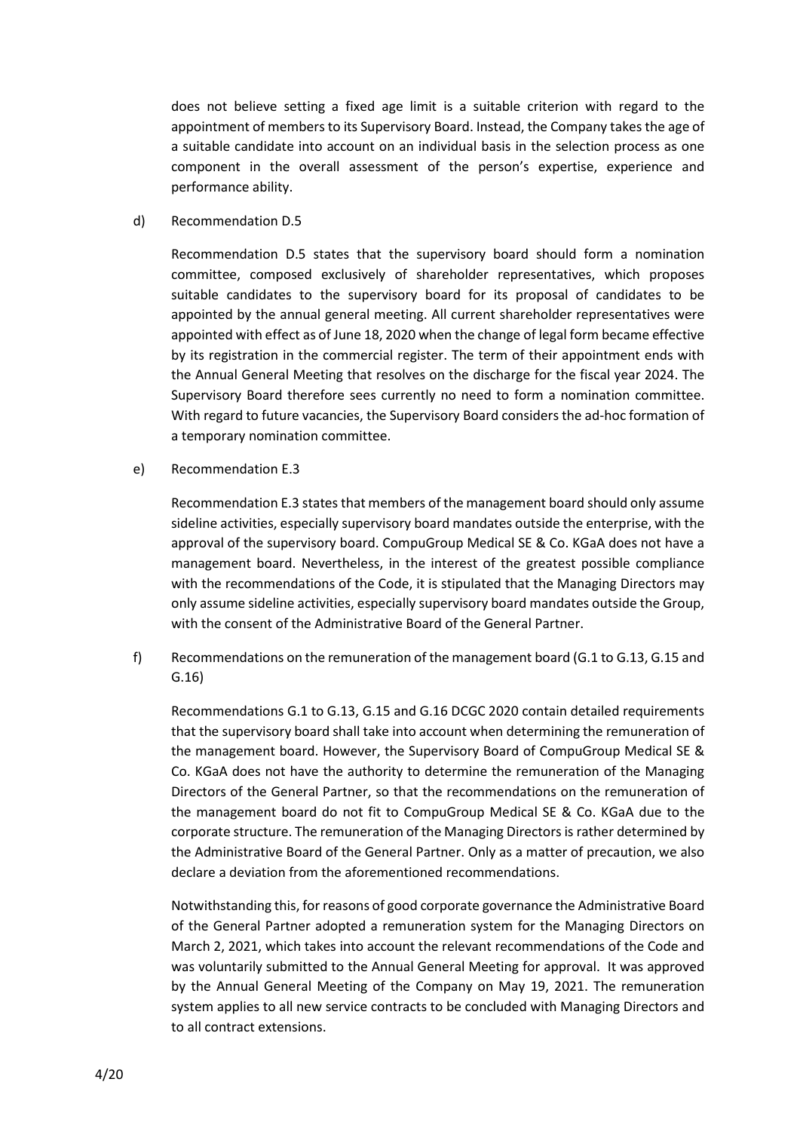does not believe setting a fixed age limit is a suitable criterion with regard to the appointment of members to its Supervisory Board. Instead, the Company takes the age of a suitable candidate into account on an individual basis in the selection process as one component in the overall assessment of the person's expertise, experience and performance ability.

d) Recommendation D.5

Recommendation D.5 states that the supervisory board should form a nomination committee, composed exclusively of shareholder representatives, which proposes suitable candidates to the supervisory board for its proposal of candidates to be appointed by the annual general meeting. All current shareholder representatives were appointed with effect as of June 18, 2020 when the change of legal form became effective by its registration in the commercial register. The term of their appointment ends with the Annual General Meeting that resolves on the discharge for the fiscal year 2024. The Supervisory Board therefore sees currently no need to form a nomination committee. With regard to future vacancies, the Supervisory Board considers the ad-hoc formation of a temporary nomination committee.

e) Recommendation E.3

Recommendation E.3 states that members of the management board should only assume sideline activities, especially supervisory board mandates outside the enterprise, with the approval of the supervisory board. CompuGroup Medical SE & Co. KGaA does not have a management board. Nevertheless, in the interest of the greatest possible compliance with the recommendations of the Code, it is stipulated that the Managing Directors may only assume sideline activities, especially supervisory board mandates outside the Group, with the consent of the Administrative Board of the General Partner.

f) Recommendations on the remuneration of the management board (G.1 to G.13, G.15 and G.16)

Recommendations G.1 to G.13, G.15 and G.16 DCGC 2020 contain detailed requirements that the supervisory board shall take into account when determining the remuneration of the management board. However, the Supervisory Board of CompuGroup Medical SE & Co. KGaA does not have the authority to determine the remuneration of the Managing Directors of the General Partner, so that the recommendations on the remuneration of the management board do not fit to CompuGroup Medical SE & Co. KGaA due to the corporate structure. The remuneration of the Managing Directors is rather determined by the Administrative Board of the General Partner. Only as a matter of precaution, we also declare a deviation from the aforementioned recommendations.

Notwithstanding this, for reasons of good corporate governance the Administrative Board of the General Partner adopted a remuneration system for the Managing Directors on March 2, 2021, which takes into account the relevant recommendations of the Code and was voluntarily submitted to the Annual General Meeting for approval. It was approved by the Annual General Meeting of the Company on May 19, 2021. The remuneration system applies to all new service contracts to be concluded with Managing Directors and to all contract extensions.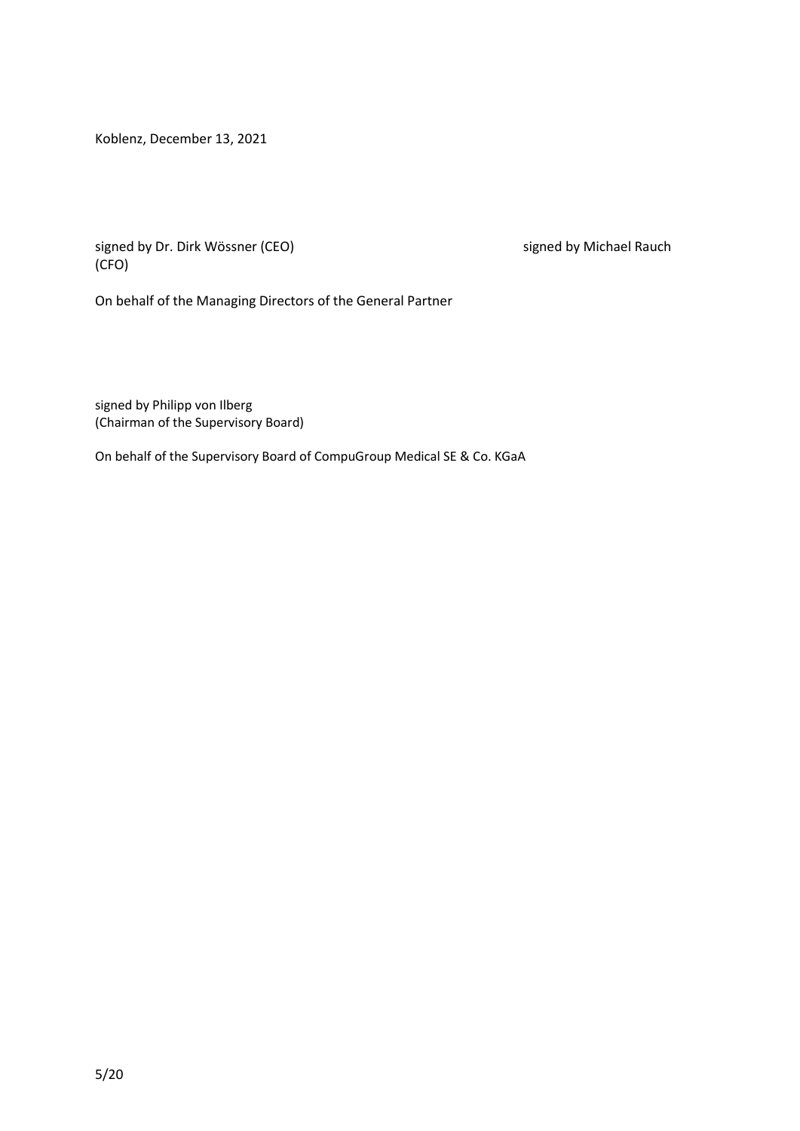Koblenz, December 13, 2021

signed by Dr. Dirk Wössner (CEO) signed by Michael Rauch (CFO)

On behalf of the Managing Directors of the General Partner

signed by Philipp von Ilberg (Chairman of the Supervisory Board)

On behalf of the Supervisory Board of CompuGroup Medical SE & Co. KGaA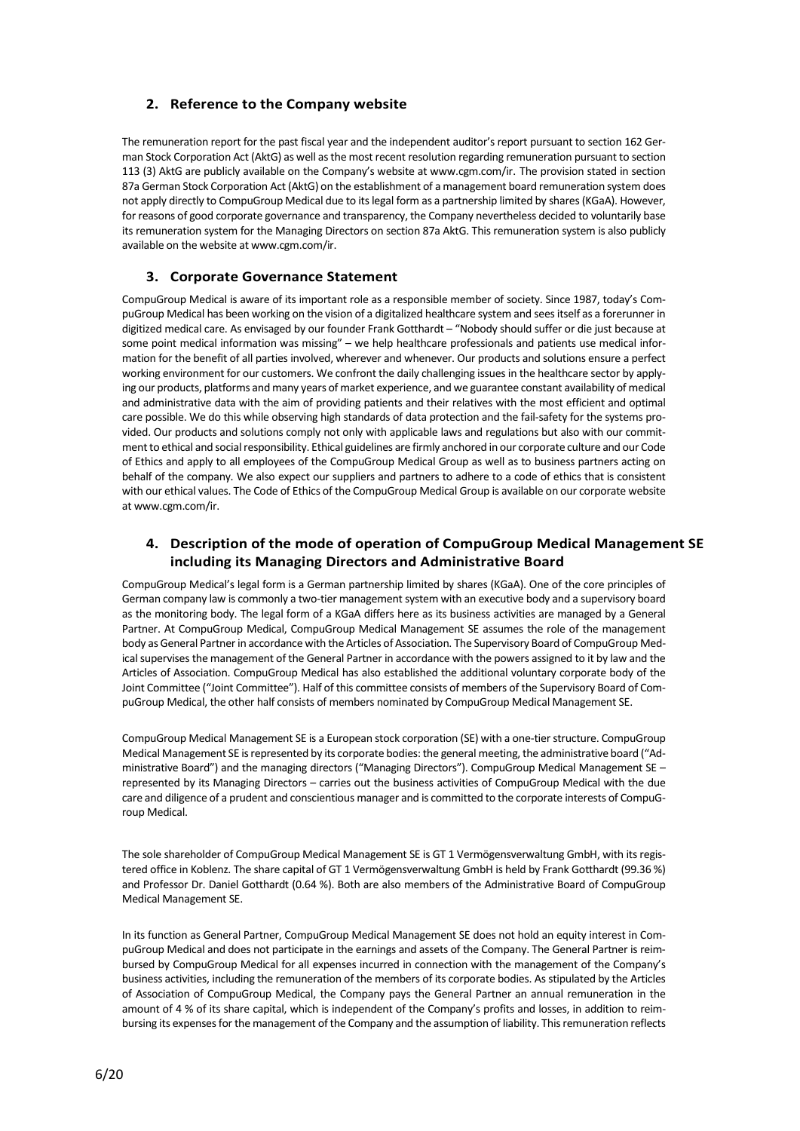# **2. Reference to the Company website**

The remuneration report for the past fiscal year and the independent auditor's report pursuant to section 162 German Stock Corporation Act (AktG) as well as the most recent resolution regarding remuneration pursuant to section 113 (3) AktG are publicly available on the Company's website at www.cgm.com/ir. The provision stated in section 87a German Stock Corporation Act (AktG) on the establishment of a management board remuneration system does not apply directly to CompuGroup Medical due to its legal form as a partnership limited by shares (KGaA). However, for reasons of good corporate governance and transparency, the Company nevertheless decided to voluntarily base its remuneration system for the Managing Directors on section 87a AktG. This remuneration system is also publicly available on the website at www.cgm.com/ir.

## **3. Corporate Governance Statement**

CompuGroup Medical is aware of its important role as a responsible member of society. Since 1987, today's CompuGroup Medical has been working on the vision of a digitalized healthcare system and sees itself as a forerunner in digitized medical care. As envisaged by our founder Frank Gotthardt – "Nobody should suffer or die just because at some point medical information was missing" – we help healthcare professionals and patients use medical information for the benefit of all parties involved, wherever and whenever. Our products and solutions ensure a perfect working environment for our customers. We confront the daily challenging issues in the healthcare sector by applying our products, platforms and many years of market experience, and we guarantee constant availability of medical and administrative data with the aim of providing patients and their relatives with the most efficient and optimal care possible. We do this while observing high standards of data protection and the fail-safety for the systems provided. Our products and solutions comply not only with applicable laws and regulations but also with our commitment to ethical and social responsibility. Ethical guidelines are firmly anchored in our corporate culture and our Code of Ethics and apply to all employees of the CompuGroup Medical Group as well as to business partners acting on behalf of the company. We also expect our suppliers and partners to adhere to a code of ethics that is consistent with our ethical values. The Code of Ethics of the CompuGroup Medical Group is available on our corporate website at www.cgm.com/ir.

## **4. Description of the mode of operation of CompuGroup Medical Management SE including its Managing Directors and Administrative Board**

CompuGroup Medical's legal form is a German partnership limited by shares (KGaA). One of the core principles of German company law is commonly a two-tier management system with an executive body and a supervisory board as the monitoring body. The legal form of a KGaA differs here as its business activities are managed by a General Partner. At CompuGroup Medical, CompuGroup Medical Management SE assumes the role of the management body as General Partner in accordance with the Articles of Association. The Supervisory Board of CompuGroup Medical supervises the management of the General Partner in accordance with the powers assigned to it by law and the Articles of Association. CompuGroup Medical has also established the additional voluntary corporate body of the Joint Committee ("Joint Committee"). Half of this committee consists of members of the Supervisory Board of CompuGroup Medical, the other half consists of members nominated by CompuGroup Medical Management SE.

CompuGroup Medical Management SE is a European stock corporation (SE) with a one-tier structure. CompuGroup Medical Management SE is represented by its corporate bodies: the general meeting, the administrative board ("Administrative Board") and the managing directors ("Managing Directors"). CompuGroup Medical Management SE – represented by its Managing Directors – carries out the business activities of CompuGroup Medical with the due care and diligence of a prudent and conscientious manager and is committed to the corporate interests of CompuGroup Medical.

The sole shareholder of CompuGroup Medical Management SE is GT 1 Vermögensverwaltung GmbH, with its registered office in Koblenz. The share capital of GT 1 Vermögensverwaltung GmbH is held by Frank Gotthardt (99.36 %) and Professor Dr. Daniel Gotthardt (0.64 %). Both are also members of the Administrative Board of CompuGroup Medical Management SE.

In its function as General Partner, CompuGroup Medical Management SE does not hold an equity interest in CompuGroup Medical and does not participate in the earnings and assets of the Company. The General Partner is reimbursed by CompuGroup Medical for all expenses incurred in connection with the management of the Company's business activities, including the remuneration of the members of its corporate bodies. As stipulated by the Articles of Association of CompuGroup Medical, the Company pays the General Partner an annual remuneration in the amount of 4 % of its share capital, which is independent of the Company's profits and losses, in addition to reimbursing its expenses for the management of the Company and the assumption of liability. This remuneration reflects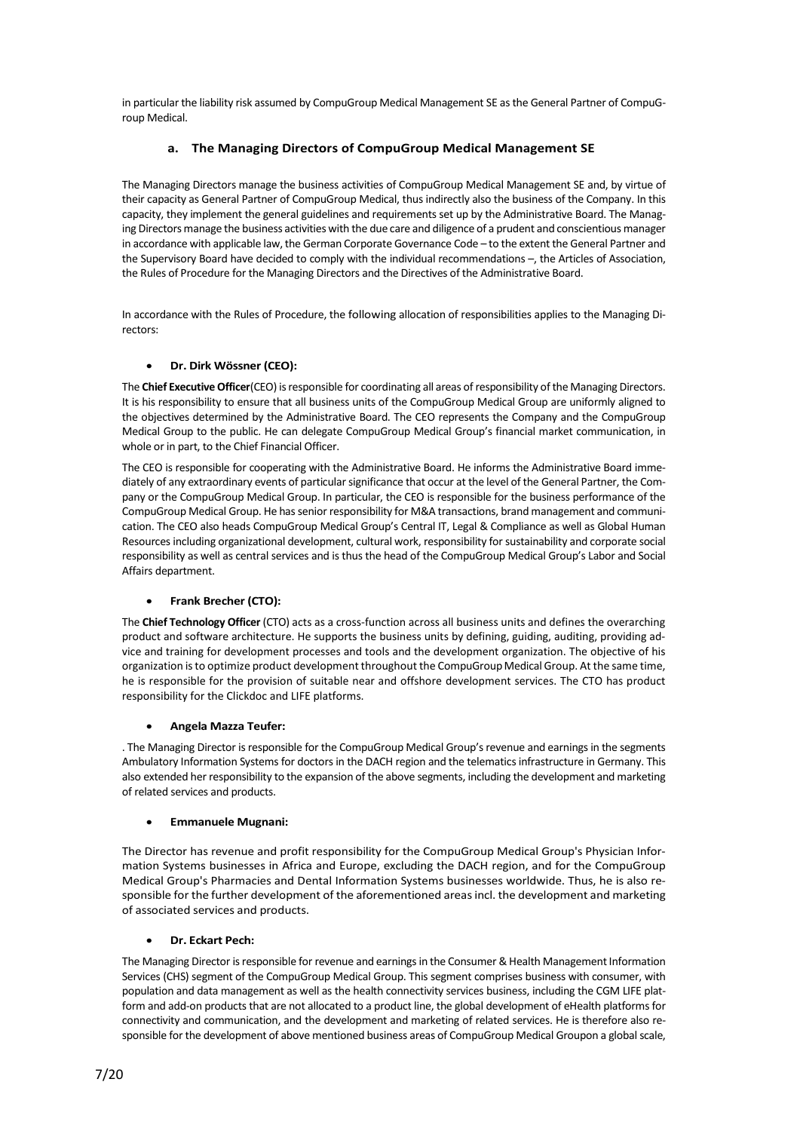in particular the liability risk assumed by CompuGroup Medical Management SE as the General Partner of CompuGroup Medical.

## **a. The Managing Directors of CompuGroup Medical Management SE**

The Managing Directors manage the business activities of CompuGroup Medical Management SE and, by virtue of their capacity as General Partner of CompuGroup Medical, thus indirectly also the business of the Company. In this capacity, they implement the general guidelines and requirements set up by the Administrative Board. The Managing Directors manage the business activities with the due care and diligence of a prudent and conscientious manager in accordance with applicable law, the German Corporate Governance Code – to the extent the General Partner and the Supervisory Board have decided to comply with the individual recommendations –, the Articles of Association, the Rules of Procedure for the Managing Directors and the Directives of the Administrative Board.

In accordance with the Rules of Procedure, the following allocation of responsibilities applies to the Managing Directors:

## • **Dr. Dirk Wössner (CEO):**

The **Chief Executive Officer**(CEO) is responsible for coordinating all areas of responsibility of the Managing Directors. It is his responsibility to ensure that all business units of the CompuGroup Medical Group are uniformly aligned to the objectives determined by the Administrative Board. The CEO represents the Company and the CompuGroup Medical Group to the public. He can delegate CompuGroup Medical Group's financial market communication, in whole or in part, to the Chief Financial Officer.

The CEO is responsible for cooperating with the Administrative Board. He informs the Administrative Board immediately of any extraordinary events of particular significance that occur at the level of the General Partner, the Company or the CompuGroup Medical Group. In particular, the CEO is responsible for the business performance of the CompuGroup Medical Group. He has senior responsibility for M&A transactions, brand management and communication. The CEO also heads CompuGroup Medical Group's Central IT, Legal & Compliance as well as Global Human Resources including organizational development, cultural work, responsibility for sustainability and corporate social responsibility as well as central services and is thus the head of the CompuGroup Medical Group's Labor and Social Affairs department.

#### • **Frank Brecher (CTO):**

The **Chief Technology Officer** (CTO) acts as a cross-function across all business units and defines the overarching product and software architecture. He supports the business units by defining, guiding, auditing, providing advice and training for development processes and tools and the development organization. The objective of his organization is to optimize product development throughout the CompuGroup Medical Group. At the same time, he is responsible for the provision of suitable near and offshore development services. The CTO has product responsibility for the Clickdoc and LIFE platforms.

#### • **Angela Mazza Teufer:**

. The Managing Director is responsible for the CompuGroup Medical Group's revenue and earnings in the segments Ambulatory Information Systems for doctors in the DACH region and the telematics infrastructure in Germany. This also extended her responsibility to the expansion of the above segments, including the development and marketing of related services and products.

#### • **Emmanuele Mugnani:**

The Director has revenue and profit responsibility for the CompuGroup Medical Group's Physician Information Systems businesses in Africa and Europe, excluding the DACH region, and for the CompuGroup Medical Group's Pharmacies and Dental Information Systems businesses worldwide. Thus, he is also responsible for the further development of the aforementioned areas incl. the development and marketing of associated services and products.

#### • **Dr. Eckart Pech:**

The Managing Director is responsible for revenue and earnings in the Consumer & Health Management Information Services (CHS) segment of the CompuGroup Medical Group. This segment comprises business with consumer, with population and data management as well as the health connectivity services business, including the CGM LIFE platform and add-on products that are not allocated to a product line, the global development of eHealth platforms for connectivity and communication, and the development and marketing of related services. He is therefore also responsible for the development of above mentioned business areas of CompuGroup Medical Groupon a global scale,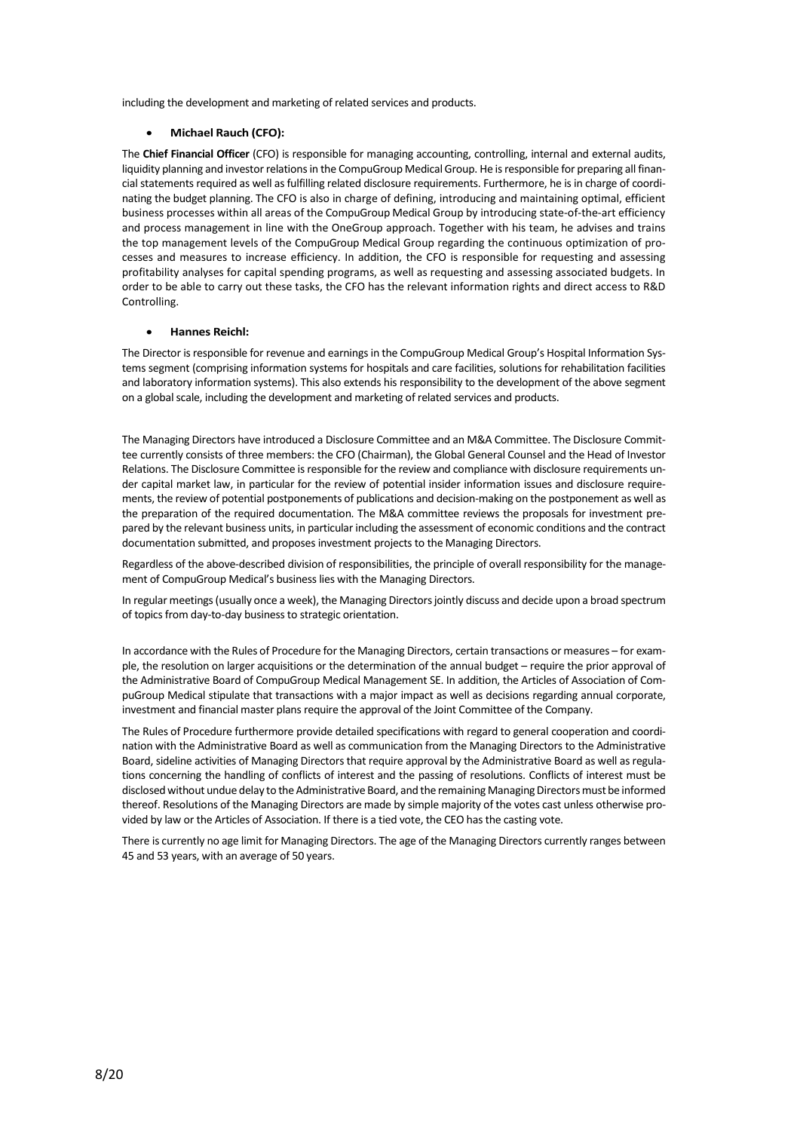including the development and marketing of related services and products.

#### • **Michael Rauch (CFO):**

The **Chief Financial Officer** (CFO) is responsible for managing accounting, controlling, internal and external audits, liquidity planning and investor relations in the CompuGroup Medical Group. He is responsible for preparing all financial statements required as well as fulfilling related disclosure requirements. Furthermore, he is in charge of coordinating the budget planning. The CFO is also in charge of defining, introducing and maintaining optimal, efficient business processes within all areas of the CompuGroup Medical Group by introducing state-of-the-art efficiency and process management in line with the OneGroup approach. Together with his team, he advises and trains the top management levels of the CompuGroup Medical Group regarding the continuous optimization of processes and measures to increase efficiency. In addition, the CFO is responsible for requesting and assessing profitability analyses for capital spending programs, as well as requesting and assessing associated budgets. In order to be able to carry out these tasks, the CFO has the relevant information rights and direct access to R&D Controlling.

#### • **Hannes Reichl:**

The Director is responsible for revenue and earnings in the CompuGroup Medical Group's Hospital Information Systems segment (comprising information systems for hospitals and care facilities, solutions for rehabilitation facilities and laboratory information systems). This also extends his responsibility to the development of the above segment on a global scale, including the development and marketing of related services and products.

The Managing Directors have introduced a Disclosure Committee and an M&A Committee. The Disclosure Committee currently consists of three members: the CFO (Chairman), the Global General Counsel and the Head of Investor Relations. The Disclosure Committee is responsible for the review and compliance with disclosure requirements under capital market law, in particular for the review of potential insider information issues and disclosure requirements, the review of potential postponements of publications and decision-making on the postponement as well as the preparation of the required documentation. The M&A committee reviews the proposals for investment prepared by the relevant business units, in particular including the assessment of economic conditions and the contract documentation submitted, and proposes investment projects to the Managing Directors.

Regardless of the above-described division of responsibilities, the principle of overall responsibility for the management of CompuGroup Medical's business lies with the Managing Directors.

In regular meetings (usually once a week), the Managing Directors jointly discuss and decide upon a broad spectrum of topics from day-to-day business to strategic orientation.

In accordance with the Rules of Procedure for the Managing Directors, certain transactions or measures – for example, the resolution on larger acquisitions or the determination of the annual budget – require the prior approval of the Administrative Board of CompuGroup Medical Management SE. In addition, the Articles of Association of CompuGroup Medical stipulate that transactions with a major impact as well as decisions regarding annual corporate, investment and financial master plans require the approval of the Joint Committee of the Company.

The Rules of Procedure furthermore provide detailed specifications with regard to general cooperation and coordination with the Administrative Board as well as communication from the Managing Directors to the Administrative Board, sideline activities of Managing Directors that require approval by the Administrative Board as well as regulations concerning the handling of conflicts of interest and the passing of resolutions. Conflicts of interest must be disclosed without undue delay to the Administrative Board, and the remaining Managing Directors must be informed thereof. Resolutions of the Managing Directors are made by simple majority of the votes cast unless otherwise provided by law or the Articles of Association. If there is a tied vote, the CEO has the casting vote.

There is currently no age limit for Managing Directors. The age of the Managing Directors currently ranges between 45 and 53 years, with an average of 50 years.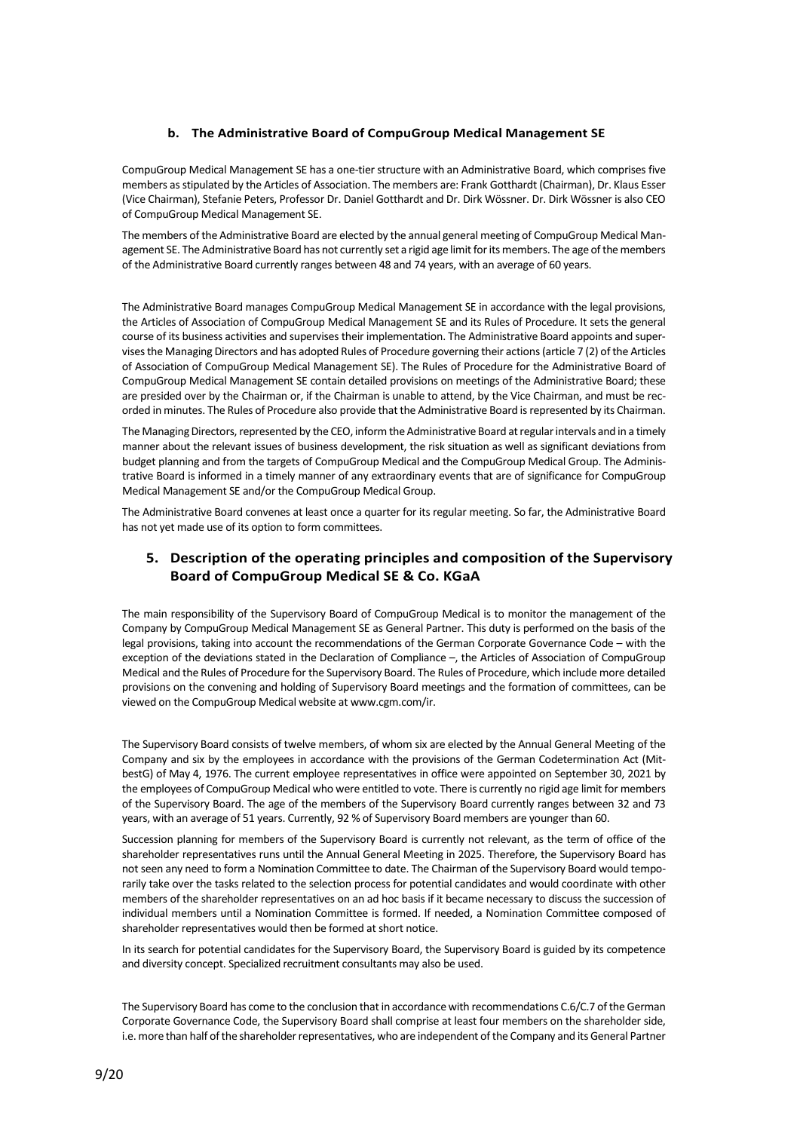## **b. The Administrative Board of CompuGroup Medical Management SE**

CompuGroup Medical Management SE has a one-tier structure with an Administrative Board, which comprises five members as stipulated by the Articles of Association. The members are: Frank Gotthardt (Chairman), Dr. Klaus Esser (Vice Chairman), Stefanie Peters, Professor Dr. Daniel Gotthardt and Dr. Dirk Wössner. Dr. Dirk Wössner is also CEO of CompuGroup Medical Management SE.

The members of the Administrative Board are elected by the annual general meeting of CompuGroup Medical Management SE. The Administrative Board has not currently set a rigid age limit for its members. The age of the members of the Administrative Board currently ranges between 48 and 74 years, with an average of 60 years.

The Administrative Board manages CompuGroup Medical Management SE in accordance with the legal provisions, the Articles of Association of CompuGroup Medical Management SE and its Rules of Procedure. It sets the general course of its business activities and supervises their implementation. The Administrative Board appoints and supervises the Managing Directors and has adopted Rules of Procedure governing their actions (article 7 (2) of the Articles of Association of CompuGroup Medical Management SE). The Rules of Procedure for the Administrative Board of CompuGroup Medical Management SE contain detailed provisions on meetings of the Administrative Board; these are presided over by the Chairman or, if the Chairman is unable to attend, by the Vice Chairman, and must be recorded in minutes. The Rules of Procedure also provide that the Administrative Board is represented by its Chairman.

The Managing Directors, represented by the CEO, inform the Administrative Board at regular intervals and in a timely manner about the relevant issues of business development, the risk situation as well as significant deviations from budget planning and from the targets of CompuGroup Medical and the CompuGroup Medical Group. The Administrative Board is informed in a timely manner of any extraordinary events that are of significance for CompuGroup Medical Management SE and/or the CompuGroup Medical Group.

The Administrative Board convenes at least once a quarter for its regular meeting. So far, the Administrative Board has not yet made use of its option to form committees.

# **5. Description of the operating principles and composition of the Supervisory Board of CompuGroup Medical SE & Co. KGaA**

The main responsibility of the Supervisory Board of CompuGroup Medical is to monitor the management of the Company by CompuGroup Medical Management SE as General Partner. This duty is performed on the basis of the legal provisions, taking into account the recommendations of the German Corporate Governance Code – with the exception of the deviations stated in the Declaration of Compliance –, the Articles of Association of CompuGroup Medical and the Rules of Procedure for the Supervisory Board. The Rules of Procedure, which include more detailed provisions on the convening and holding of Supervisory Board meetings and the formation of committees, can be viewed on the CompuGroup Medical website at www.cgm.com/ir.

The Supervisory Board consists of twelve members, of whom six are elected by the Annual General Meeting of the Company and six by the employees in accordance with the provisions of the German Codetermination Act (MitbestG) of May 4, 1976. The current employee representatives in office were appointed on September 30, 2021 by the employees of CompuGroup Medical who were entitled to vote. There is currently no rigid age limit for members of the Supervisory Board. The age of the members of the Supervisory Board currently ranges between 32 and 73 years, with an average of 51 years. Currently, 92 % of Supervisory Board members are younger than 60.

Succession planning for members of the Supervisory Board is currently not relevant, as the term of office of the shareholder representatives runs until the Annual General Meeting in 2025. Therefore, the Supervisory Board has not seen any need to form a Nomination Committee to date. The Chairman of the Supervisory Board would temporarily take over the tasks related to the selection process for potential candidates and would coordinate with other members of the shareholder representatives on an ad hoc basis if it became necessary to discuss the succession of individual members until a Nomination Committee is formed. If needed, a Nomination Committee composed of shareholder representatives would then be formed at short notice.

In its search for potential candidates for the Supervisory Board, the Supervisory Board is guided by its competence and diversity concept. Specialized recruitment consultants may also be used.

The Supervisory Board has come to the conclusion that in accordance with recommendations C.6/C.7 of the German Corporate Governance Code, the Supervisory Board shall comprise at least four members on the shareholder side, i.e. more than half of the shareholder representatives, who are independent of the Company and its General Partner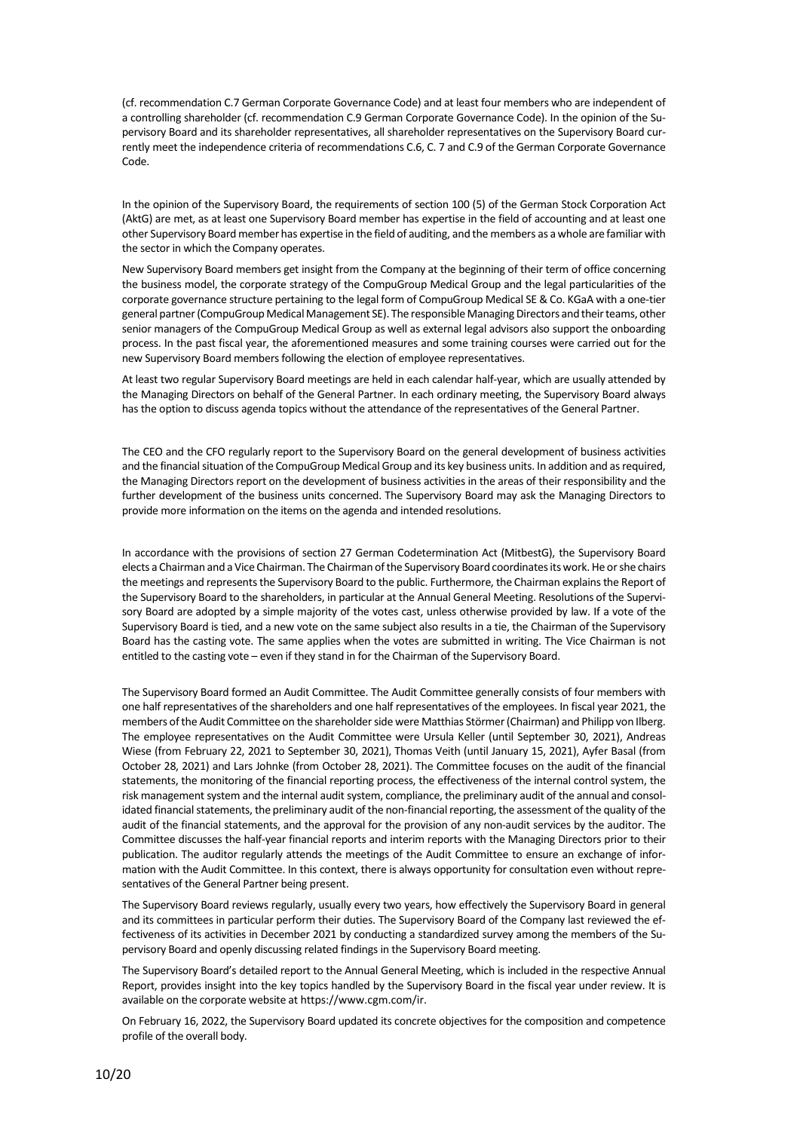(cf. recommendation C.7 German Corporate Governance Code) and at least four members who are independent of a controlling shareholder (cf. recommendation C.9 German Corporate Governance Code). In the opinion of the Supervisory Board and its shareholder representatives, all shareholder representatives on the Supervisory Board currently meet the independence criteria of recommendations C.6, C. 7 and C.9 of the German Corporate Governance Code.

In the opinion of the Supervisory Board, the requirements of section 100 (5) of the German Stock Corporation Act (AktG) are met, as at least one Supervisory Board member has expertise in the field of accounting and at least one other Supervisory Board member has expertise in the field of auditing, and the members as a whole are familiar with the sector in which the Company operates.

New Supervisory Board members get insight from the Company at the beginning of their term of office concerning the business model, the corporate strategy of the CompuGroup Medical Group and the legal particularities of the corporate governance structure pertaining to the legal form of CompuGroup Medical SE & Co. KGaA with a one-tier general partner (CompuGroup Medical Management SE). The responsible Managing Directors and their teams, other senior managers of the CompuGroup Medical Group as well as external legal advisors also support the onboarding process. In the past fiscal year, the aforementioned measures and some training courses were carried out for the new Supervisory Board members following the election of employee representatives.

At least two regular Supervisory Board meetings are held in each calendar half-year, which are usually attended by the Managing Directors on behalf of the General Partner. In each ordinary meeting, the Supervisory Board always has the option to discuss agenda topics without the attendance of the representatives of the General Partner.

The CEO and the CFO regularly report to the Supervisory Board on the general development of business activities and the financial situation of the CompuGroup Medical Group and its key business units. In addition and as required, the Managing Directors report on the development of business activities in the areas of their responsibility and the further development of the business units concerned. The Supervisory Board may ask the Managing Directors to provide more information on the items on the agenda and intended resolutions.

In accordance with the provisions of section 27 German Codetermination Act (MitbestG), the Supervisory Board elects a Chairman and a Vice Chairman. The Chairman of the Supervisory Board coordinates its work. He or she chairs the meetings and represents the Supervisory Board to the public. Furthermore, the Chairman explains the Report of the Supervisory Board to the shareholders, in particular at the Annual General Meeting. Resolutions of the Supervisory Board are adopted by a simple majority of the votes cast, unless otherwise provided by law. If a vote of the Supervisory Board is tied, and a new vote on the same subject also results in a tie, the Chairman of the Supervisory Board has the casting vote. The same applies when the votes are submitted in writing. The Vice Chairman is not entitled to the casting vote – even if they stand in for the Chairman of the Supervisory Board.

The Supervisory Board formed an Audit Committee. The Audit Committee generally consists of four members with one half representatives of the shareholders and one half representatives of the employees. In fiscal year 2021, the members of the Audit Committee on the shareholder side were Matthias Störmer (Chairman) and Philipp von Ilberg. The employee representatives on the Audit Committee were Ursula Keller (until September 30, 2021), Andreas Wiese (from February 22, 2021 to September 30, 2021), Thomas Veith (until January 15, 2021), Ayfer Basal (from October 28, 2021) and Lars Johnke (from October 28, 2021). The Committee focuses on the audit of the financial statements, the monitoring of the financial reporting process, the effectiveness of the internal control system, the risk management system and the internal audit system, compliance, the preliminary audit of the annual and consolidated financial statements, the preliminary audit of the non-financial reporting, the assessment of the quality of the audit of the financial statements, and the approval for the provision of any non-audit services by the auditor. The Committee discusses the half-year financial reports and interim reports with the Managing Directors prior to their publication. The auditor regularly attends the meetings of the Audit Committee to ensure an exchange of information with the Audit Committee. In this context, there is always opportunity for consultation even without representatives of the General Partner being present.

The Supervisory Board reviews regularly, usually every two years, how effectively the Supervisory Board in general and its committees in particular perform their duties. The Supervisory Board of the Company last reviewed the effectiveness of its activities in December 2021 by conducting a standardized survey among the members of the Supervisory Board and openly discussing related findings in the Supervisory Board meeting.

The Supervisory Board's detailed report to the Annual General Meeting, which is included in the respective Annual Report, provides insight into the key topics handled by the Supervisory Board in the fiscal year under review. It is available on the corporate website a[t https://www.cgm.com/ir.](https://www.cgm.com/ir)

On February 16, 2022, the Supervisory Board updated its concrete objectives for the composition and competence profile of the overall body.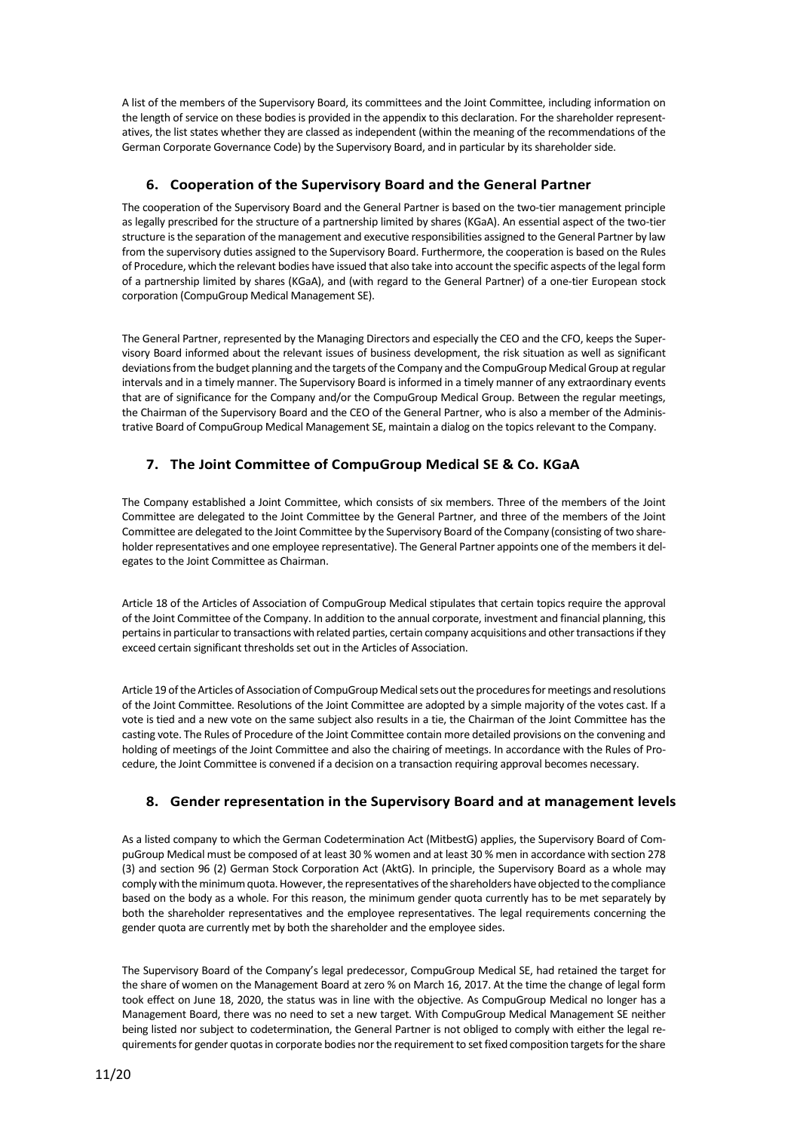A list of the members of the Supervisory Board, its committees and the Joint Committee, including information on the length of service on these bodies is provided in the appendix to this declaration. For the shareholder representatives, the list states whether they are classed as independent (within the meaning of the recommendations of the German Corporate Governance Code) by the Supervisory Board, and in particular by its shareholder side.

# **6. Cooperation of the Supervisory Board and the General Partner**

The cooperation of the Supervisory Board and the General Partner is based on the two-tier management principle as legally prescribed for the structure of a partnership limited by shares (KGaA). An essential aspect of the two-tier structure is the separation of the management and executive responsibilities assigned to the General Partner by law from the supervisory duties assigned to the Supervisory Board. Furthermore, the cooperation is based on the Rules of Procedure, which the relevant bodies have issued that also take into account the specific aspects of the legal form of a partnership limited by shares (KGaA), and (with regard to the General Partner) of a one-tier European stock corporation (CompuGroup Medical Management SE).

The General Partner, represented by the Managing Directors and especially the CEO and the CFO, keeps the Supervisory Board informed about the relevant issues of business development, the risk situation as well as significant deviations from the budget planning and the targets of the Company and the CompuGroup Medical Group at regular intervals and in a timely manner. The Supervisory Board is informed in a timely manner of any extraordinary events that are of significance for the Company and/or the CompuGroup Medical Group. Between the regular meetings, the Chairman of the Supervisory Board and the CEO of the General Partner, who is also a member of the Administrative Board of CompuGroup Medical Management SE, maintain a dialog on the topics relevant to the Company.

# **7. The Joint Committee of CompuGroup Medical SE & Co. KGaA**

The Company established a Joint Committee, which consists of six members. Three of the members of the Joint Committee are delegated to the Joint Committee by the General Partner, and three of the members of the Joint Committee are delegated to the Joint Committee by the Supervisory Board of the Company (consisting of two shareholder representatives and one employee representative). The General Partner appoints one of the members it delegates to the Joint Committee as Chairman.

Article 18 of the Articles of Association of CompuGroup Medical stipulates that certain topics require the approval of the Joint Committee of the Company. In addition to the annual corporate, investment and financial planning, this pertains in particular to transactions with related parties, certain company acquisitions and other transactions if they exceed certain significant thresholds set out in the Articles of Association.

Article 19 of the Articles of Association of CompuGroup Medical sets out the procedures for meetings and resolutions of the Joint Committee. Resolutions of the Joint Committee are adopted by a simple majority of the votes cast. If a vote is tied and a new vote on the same subject also results in a tie, the Chairman of the Joint Committee has the casting vote. The Rules of Procedure of the Joint Committee contain more detailed provisions on the convening and holding of meetings of the Joint Committee and also the chairing of meetings. In accordance with the Rules of Procedure, the Joint Committee is convened if a decision on a transaction requiring approval becomes necessary.

# **8. Gender representation in the Supervisory Board and at management levels**

As a listed company to which the German Codetermination Act (MitbestG) applies, the Supervisory Board of CompuGroup Medical must be composed of at least 30 % women and at least 30 % men in accordance with section 278 (3) and section 96 (2) German Stock Corporation Act (AktG). In principle, the Supervisory Board as a whole may comply with the minimum quota. However, the representatives of the shareholders have objected to the compliance based on the body as a whole. For this reason, the minimum gender quota currently has to be met separately by both the shareholder representatives and the employee representatives. The legal requirements concerning the gender quota are currently met by both the shareholder and the employee sides.

The Supervisory Board of the Company's legal predecessor, CompuGroup Medical SE, had retained the target for the share of women on the Management Board at zero % on March 16, 2017. At the time the change of legal form took effect on June 18, 2020, the status was in line with the objective. As CompuGroup Medical no longer has a Management Board, there was no need to set a new target. With CompuGroup Medical Management SE neither being listed nor subject to codetermination, the General Partner is not obliged to comply with either the legal requirements for gender quotas in corporate bodies nor the requirement to set fixed composition targets for the share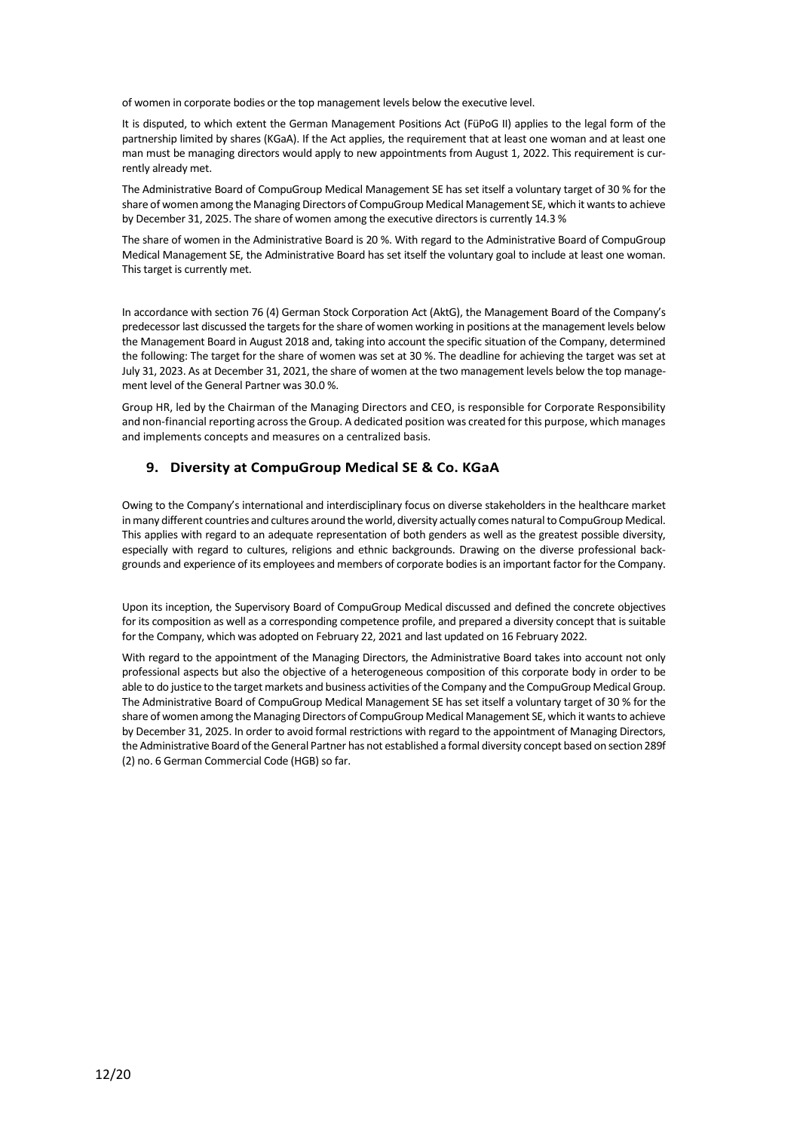of women in corporate bodies or the top management levels below the executive level.

It is disputed, to which extent the German Management Positions Act (FüPoG II) applies to the legal form of the partnership limited by shares (KGaA). If the Act applies, the requirement that at least one woman and at least one man must be managing directors would apply to new appointments from August 1, 2022. This requirement is currently already met.

The Administrative Board of CompuGroup Medical Management SE has set itself a voluntary target of 30 % for the share of women among the Managing Directors of CompuGroup Medical Management SE, which it wants to achieve by December 31, 2025. The share of women among the executive directors is currently 14.3 %

The share of women in the Administrative Board is 20 %. With regard to the Administrative Board of CompuGroup Medical Management SE, the Administrative Board has set itself the voluntary goal to include at least one woman. This target is currently met.

In accordance with section 76 (4) German Stock Corporation Act (AktG), the Management Board of the Company's predecessor last discussed the targets for the share of women working in positions at the management levels below the Management Board in August 2018 and, taking into account the specific situation of the Company, determined the following: The target for the share of women was set at 30 %. The deadline for achieving the target was set at July 31, 2023. As at December 31, 2021, the share of women at the two management levels below the top management level of the General Partner was 30.0 %.

Group HR, led by the Chairman of the Managing Directors and CEO, is responsible for Corporate Responsibility and non-financial reporting across the Group. A dedicated position was created for this purpose, which manages and implements concepts and measures on a centralized basis.

## **9. Diversity at CompuGroup Medical SE & Co. KGaA**

Owing to the Company's international and interdisciplinary focus on diverse stakeholders in the healthcare market in many different countries and cultures around the world, diversity actually comes natural to CompuGroup Medical. This applies with regard to an adequate representation of both genders as well as the greatest possible diversity, especially with regard to cultures, religions and ethnic backgrounds. Drawing on the diverse professional backgrounds and experience of its employees and members of corporate bodies is an important factor for the Company.

Upon its inception, the Supervisory Board of CompuGroup Medical discussed and defined the concrete objectives for its composition as well as a corresponding competence profile, and prepared a diversity concept that is suitable for the Company, which was adopted on February 22, 2021 and last updated on 16 February 2022.

With regard to the appointment of the Managing Directors, the Administrative Board takes into account not only professional aspects but also the objective of a heterogeneous composition of this corporate body in order to be able to do justice to the target markets and business activities of the Company and the CompuGroup Medical Group. The Administrative Board of CompuGroup Medical Management SE has set itself a voluntary target of 30 % for the share of women among the Managing Directors of CompuGroup Medical Management SE, which it wants to achieve by December 31, 2025. In order to avoid formal restrictions with regard to the appointment of Managing Directors, the Administrative Board of the General Partner has not established a formal diversity concept based on section 289f (2) no. 6 German Commercial Code (HGB) so far.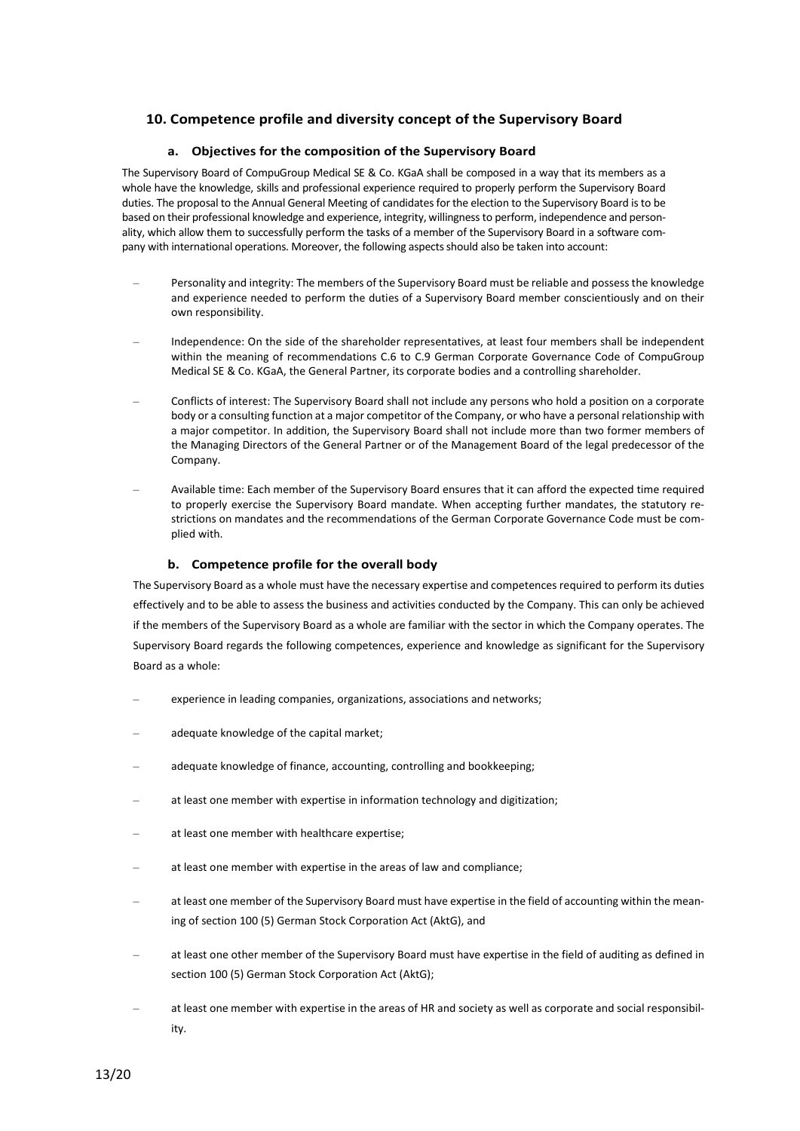# **10. Competence profile and diversity concept of the Supervisory Board**

#### **a. Objectives for the composition of the Supervisory Board**

The Supervisory Board of CompuGroup Medical SE & Co. KGaA shall be composed in a way that its members as a whole have the knowledge, skills and professional experience required to properly perform the Supervisory Board duties. The proposal to the Annual General Meeting of candidates for the election to the Supervisory Board is to be based on their professional knowledge and experience, integrity, willingness to perform, independence and personality, which allow them to successfully perform the tasks of a member of the Supervisory Board in a software company with international operations. Moreover, the following aspects should also be taken into account:

- Personality and integrity: The members of the Supervisory Board must be reliable and possess the knowledge and experience needed to perform the duties of a Supervisory Board member conscientiously and on their own responsibility.
- Independence: On the side of the shareholder representatives, at least four members shall be independent within the meaning of recommendations C.6 to C.9 German Corporate Governance Code of CompuGroup Medical SE & Co. KGaA, the General Partner, its corporate bodies and a controlling shareholder.
- Conflicts of interest: The Supervisory Board shall not include any persons who hold a position on a corporate body or a consulting function at a major competitor of the Company, or who have a personal relationship with a major competitor. In addition, the Supervisory Board shall not include more than two former members of the Managing Directors of the General Partner or of the Management Board of the legal predecessor of the Company.
- Available time: Each member of the Supervisory Board ensures that it can afford the expected time required to properly exercise the Supervisory Board mandate. When accepting further mandates, the statutory restrictions on mandates and the recommendations of the German Corporate Governance Code must be complied with.

#### **b. Competence profile for the overall body**

The Supervisory Board as a whole must have the necessary expertise and competences required to perform its duties effectively and to be able to assess the business and activities conducted by the Company. This can only be achieved if the members of the Supervisory Board as a whole are familiar with the sector in which the Company operates. The Supervisory Board regards the following competences, experience and knowledge as significant for the Supervisory Board as a whole:

- experience in leading companies, organizations, associations and networks;
- adequate knowledge of the capital market;
- adequate knowledge of finance, accounting, controlling and bookkeeping;
- at least one member with expertise in information technology and digitization;
- at least one member with healthcare expertise;
- at least one member with expertise in the areas of law and compliance;
- at least one member of the Supervisory Board must have expertise in the field of accounting within the meaning of section 100 (5) German Stock Corporation Act (AktG), and
- at least one other member of the Supervisory Board must have expertise in the field of auditing as defined in section 100 (5) German Stock Corporation Act (AktG);
- at least one member with expertise in the areas of HR and society as well as corporate and social responsibility.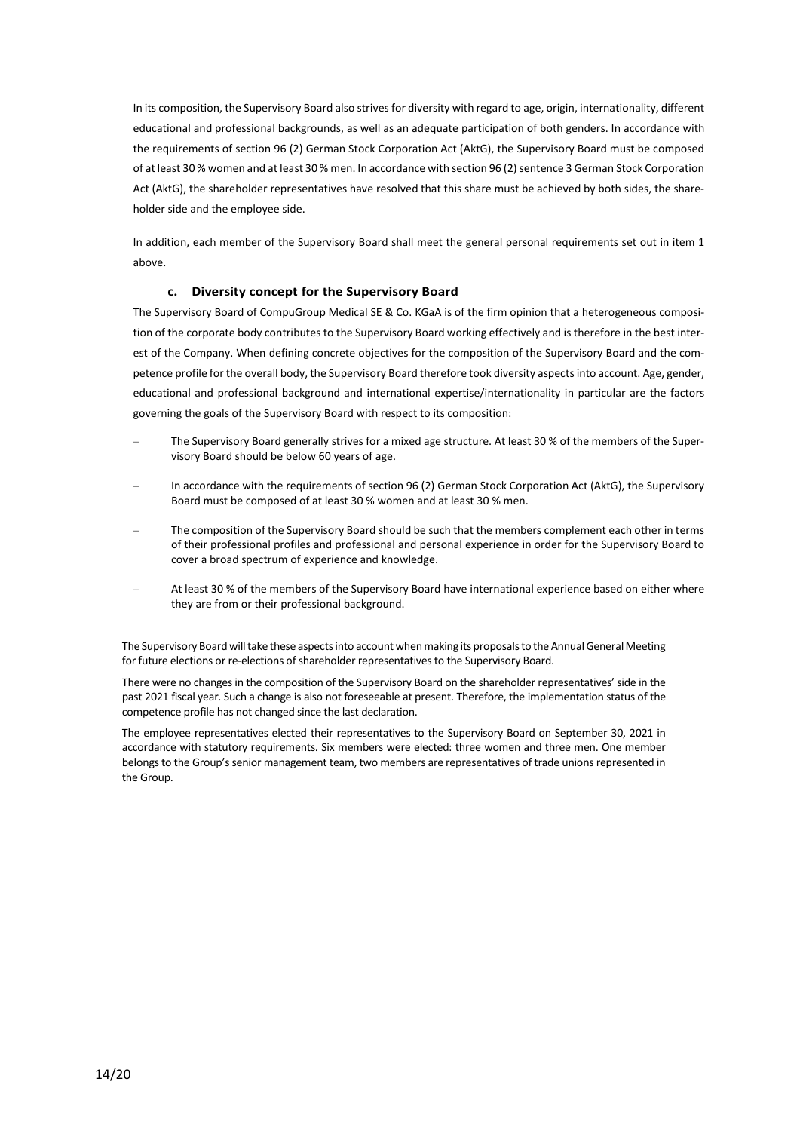In its composition, the Supervisory Board also strives for diversity with regard to age, origin, internationality, different educational and professional backgrounds, as well as an adequate participation of both genders. In accordance with the requirements of section 96 (2) German Stock Corporation Act (AktG), the Supervisory Board must be composed of at least 30 % women and at least 30 % men. In accordance with section 96 (2) sentence 3 German Stock Corporation Act (AktG), the shareholder representatives have resolved that this share must be achieved by both sides, the shareholder side and the employee side.

In addition, each member of the Supervisory Board shall meet the general personal requirements set out in item 1 above.

## **c. Diversity concept for the Supervisory Board**

The Supervisory Board of CompuGroup Medical SE & Co. KGaA is of the firm opinion that a heterogeneous composition of the corporate body contributes to the Supervisory Board working effectively and is therefore in the best interest of the Company. When defining concrete objectives for the composition of the Supervisory Board and the competence profile for the overall body, the Supervisory Board therefore took diversity aspects into account. Age, gender, educational and professional background and international expertise/internationality in particular are the factors governing the goals of the Supervisory Board with respect to its composition:

- The Supervisory Board generally strives for a mixed age structure. At least 30 % of the members of the Supervisory Board should be below 60 years of age.
- In accordance with the requirements of section 96 (2) German Stock Corporation Act (AktG), the Supervisory Board must be composed of at least 30 % women and at least 30 % men.
- The composition of the Supervisory Board should be such that the members complement each other in terms of their professional profiles and professional and personal experience in order for the Supervisory Board to cover a broad spectrum of experience and knowledge.
- At least 30 % of the members of the Supervisory Board have international experience based on either where they are from or their professional background.

The Supervisory Board will take these aspects into account when making its proposals to the Annual General Meeting for future elections or re-elections of shareholder representatives to the Supervisory Board.

There were no changes in the composition of the Supervisory Board on the shareholder representatives' side in the past 2021 fiscal year. Such a change is also not foreseeable at present. Therefore, the implementation status of the competence profile has not changed since the last declaration.

The employee representatives elected their representatives to the Supervisory Board on September 30, 2021 in accordance with statutory requirements. Six members were elected: three women and three men. One member belongs to the Group's senior management team, two members are representatives of trade unions represented in the Group.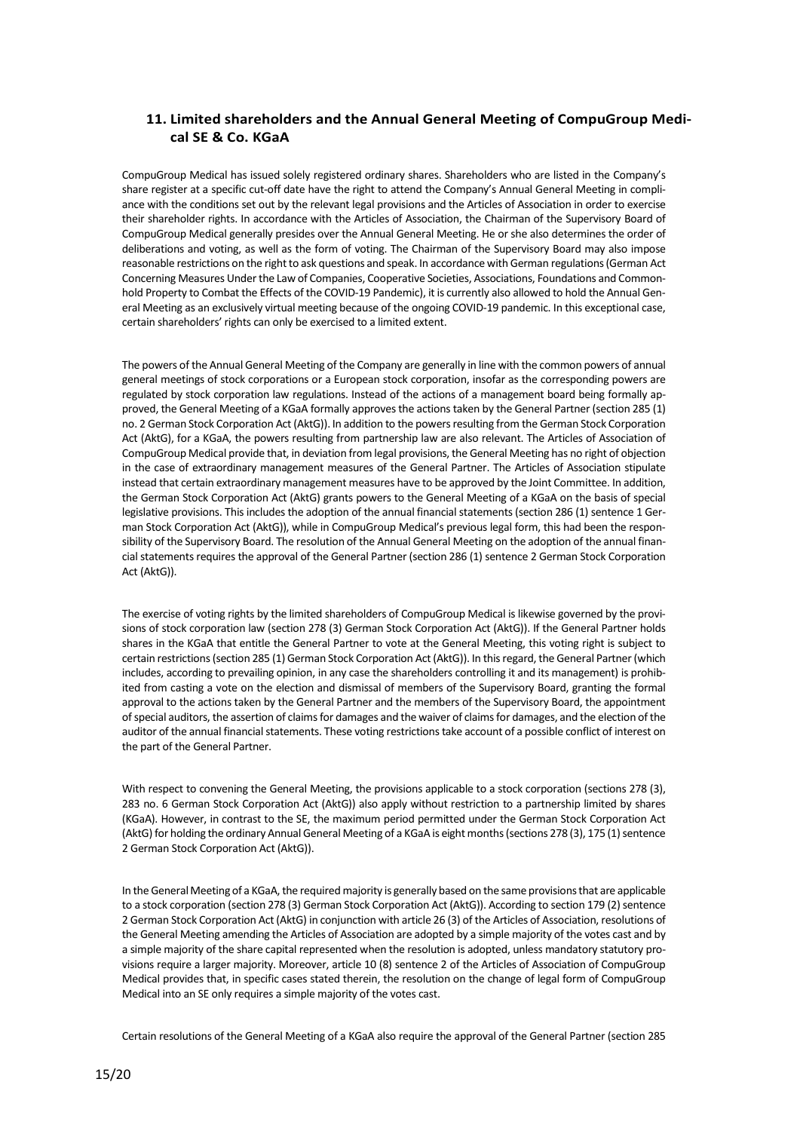# **11. Limited shareholders and the Annual General Meeting of CompuGroup Medical SE & Co. KGaA**

CompuGroup Medical has issued solely registered ordinary shares. Shareholders who are listed in the Company's share register at a specific cut-off date have the right to attend the Company's Annual General Meeting in compliance with the conditions set out by the relevant legal provisions and the Articles of Association in order to exercise their shareholder rights. In accordance with the Articles of Association, the Chairman of the Supervisory Board of CompuGroup Medical generally presides over the Annual General Meeting. He or she also determines the order of deliberations and voting, as well as the form of voting. The Chairman of the Supervisory Board may also impose reasonable restrictions on the right to ask questions and speak. In accordance with German regulations (German Act Concerning Measures Under the Law of Companies, Cooperative Societies, Associations, Foundations and Commonhold Property to Combat the Effects of the COVID-19 Pandemic), it is currently also allowed to hold the Annual General Meeting as an exclusively virtual meeting because of the ongoing COVID-19 pandemic. In this exceptional case, certain shareholders' rights can only be exercised to a limited extent.

The powers of the Annual General Meeting of the Company are generally in line with the common powers of annual general meetings of stock corporations or a European stock corporation, insofar as the corresponding powers are regulated by stock corporation law regulations. Instead of the actions of a management board being formally approved, the General Meeting of a KGaA formally approves the actions taken by the General Partner (section 285 (1) no. 2 German Stock Corporation Act (AktG)). In addition to the powers resulting from the German Stock Corporation Act (AktG), for a KGaA, the powers resulting from partnership law are also relevant. The Articles of Association of CompuGroup Medical provide that, in deviation from legal provisions, the General Meeting has no right of objection in the case of extraordinary management measures of the General Partner. The Articles of Association stipulate instead that certain extraordinary management measures have to be approved by the Joint Committee. In addition, the German Stock Corporation Act (AktG) grants powers to the General Meeting of a KGaA on the basis of special legislative provisions. This includes the adoption of the annual financial statements (section 286 (1) sentence 1 German Stock Corporation Act (AktG)), while in CompuGroup Medical's previous legal form, this had been the responsibility of the Supervisory Board. The resolution of the Annual General Meeting on the adoption of the annual financial statements requires the approval of the General Partner (section 286 (1) sentence 2 German Stock Corporation Act (AktG)).

The exercise of voting rights by the limited shareholders of CompuGroup Medical is likewise governed by the provisions of stock corporation law (section 278 (3) German Stock Corporation Act (AktG)). If the General Partner holds shares in the KGaA that entitle the General Partner to vote at the General Meeting, this voting right is subject to certain restrictions (section 285 (1) German Stock Corporation Act (AktG)). In this regard, the General Partner (which includes, according to prevailing opinion, in any case the shareholders controlling it and its management) is prohibited from casting a vote on the election and dismissal of members of the Supervisory Board, granting the formal approval to the actions taken by the General Partner and the members of the Supervisory Board, the appointment of special auditors, the assertion of claims for damages and the waiver of claims for damages, and the election of the auditor of the annual financial statements. These voting restrictions take account of a possible conflict of interest on the part of the General Partner.

With respect to convening the General Meeting, the provisions applicable to a stock corporation (sections 278 (3), 283 no. 6 German Stock Corporation Act (AktG)) also apply without restriction to a partnership limited by shares (KGaA). However, in contrast to the SE, the maximum period permitted under the German Stock Corporation Act (AktG) for holding the ordinary Annual General Meeting of a KGaA is eight months (sections 278 (3), 175 (1) sentence 2 German Stock Corporation Act (AktG)).

In the General Meeting of a KGaA, the required majority is generally based on the same provisions that are applicable to a stock corporation (section 278 (3) German Stock Corporation Act (AktG)). According to section 179 (2) sentence 2 German Stock Corporation Act (AktG) in conjunction with article 26 (3) of the Articles of Association, resolutions of the General Meeting amending the Articles of Association are adopted by a simple majority of the votes cast and by a simple majority of the share capital represented when the resolution is adopted, unless mandatory statutory provisions require a larger majority. Moreover, article 10 (8) sentence 2 of the Articles of Association of CompuGroup Medical provides that, in specific cases stated therein, the resolution on the change of legal form of CompuGroup Medical into an SE only requires a simple majority of the votes cast.

Certain resolutions of the General Meeting of a KGaA also require the approval of the General Partner (section 285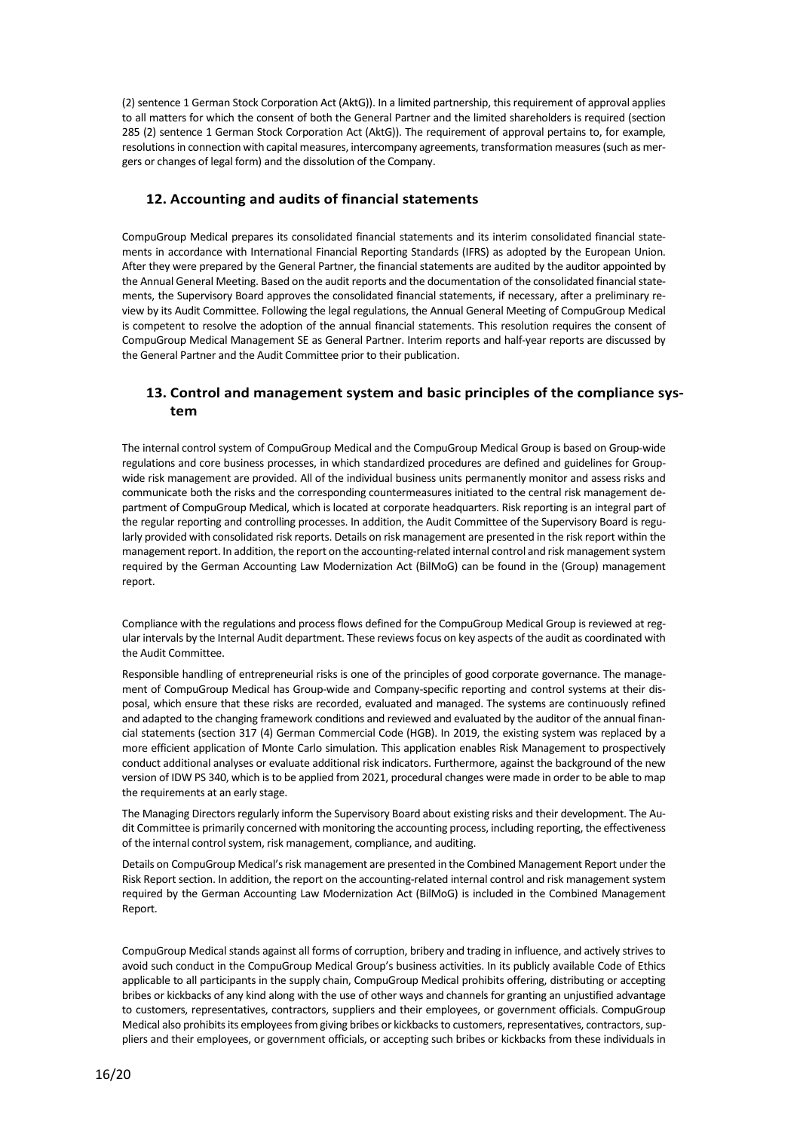(2) sentence 1 German Stock Corporation Act (AktG)). In a limited partnership, this requirement of approval applies to all matters for which the consent of both the General Partner and the limited shareholders is required (section 285 (2) sentence 1 German Stock Corporation Act (AktG)). The requirement of approval pertains to, for example, resolutions in connection with capital measures, intercompany agreements, transformation measures (such as mergers or changes of legal form) and the dissolution of the Company.

# **12. Accounting and audits of financial statements**

CompuGroup Medical prepares its consolidated financial statements and its interim consolidated financial statements in accordance with International Financial Reporting Standards (IFRS) as adopted by the European Union. After they were prepared by the General Partner, the financial statements are audited by the auditor appointed by the Annual General Meeting. Based on the audit reports and the documentation of the consolidated financial statements, the Supervisory Board approves the consolidated financial statements, if necessary, after a preliminary review by its Audit Committee. Following the legal regulations, the Annual General Meeting of CompuGroup Medical is competent to resolve the adoption of the annual financial statements. This resolution requires the consent of CompuGroup Medical Management SE as General Partner. Interim reports and half-year reports are discussed by the General Partner and the Audit Committee prior to their publication.

# **13. Control and management system and basic principles of the compliance system**

The internal control system of CompuGroup Medical and the CompuGroup Medical Group is based on Group-wide regulations and core business processes, in which standardized procedures are defined and guidelines for Groupwide risk management are provided. All of the individual business units permanently monitor and assess risks and communicate both the risks and the corresponding countermeasures initiated to the central risk management department of CompuGroup Medical, which is located at corporate headquarters. Risk reporting is an integral part of the regular reporting and controlling processes. In addition, the Audit Committee of the Supervisory Board is regularly provided with consolidated risk reports. Details on risk management are presented in the risk report within the management report. In addition, the report on the accounting-related internal control and risk management system required by the German Accounting Law Modernization Act (BilMoG) can be found in the (Group) management report.

Compliance with the regulations and process flows defined for the CompuGroup Medical Group is reviewed at regular intervals by the Internal Audit department. These reviews focus on key aspects of the audit as coordinated with the Audit Committee.

Responsible handling of entrepreneurial risks is one of the principles of good corporate governance. The management of CompuGroup Medical has Group-wide and Company-specific reporting and control systems at their disposal, which ensure that these risks are recorded, evaluated and managed. The systems are continuously refined and adapted to the changing framework conditions and reviewed and evaluated by the auditor of the annual financial statements (section 317 (4) German Commercial Code (HGB). In 2019, the existing system was replaced by a more efficient application of Monte Carlo simulation. This application enables Risk Management to prospectively conduct additional analyses or evaluate additional risk indicators. Furthermore, against the background of the new version of IDW PS 340, which is to be applied from 2021, procedural changes were made in order to be able to map the requirements at an early stage.

The Managing Directors regularly inform the Supervisory Board about existing risks and their development. The Audit Committee is primarily concerned with monitoring the accounting process, including reporting, the effectiveness of the internal control system, risk management, compliance, and auditing.

Details on CompuGroup Medical's risk management are presented in the Combined Management Report under the Risk Report section. In addition, the report on the accounting-related internal control and risk management system required by the German Accounting Law Modernization Act (BilMoG) is included in the Combined Management Report.

CompuGroup Medical stands against all forms of corruption, bribery and trading in influence, and actively strives to avoid such conduct in the CompuGroup Medical Group's business activities. In its publicly available Code of Ethics applicable to all participants in the supply chain, CompuGroup Medical prohibits offering, distributing or accepting bribes or kickbacks of any kind along with the use of other ways and channels for granting an unjustified advantage to customers, representatives, contractors, suppliers and their employees, or government officials. CompuGroup Medical also prohibits its employees from giving bribes or kickbacks to customers, representatives, contractors, suppliers and their employees, or government officials, or accepting such bribes or kickbacks from these individuals in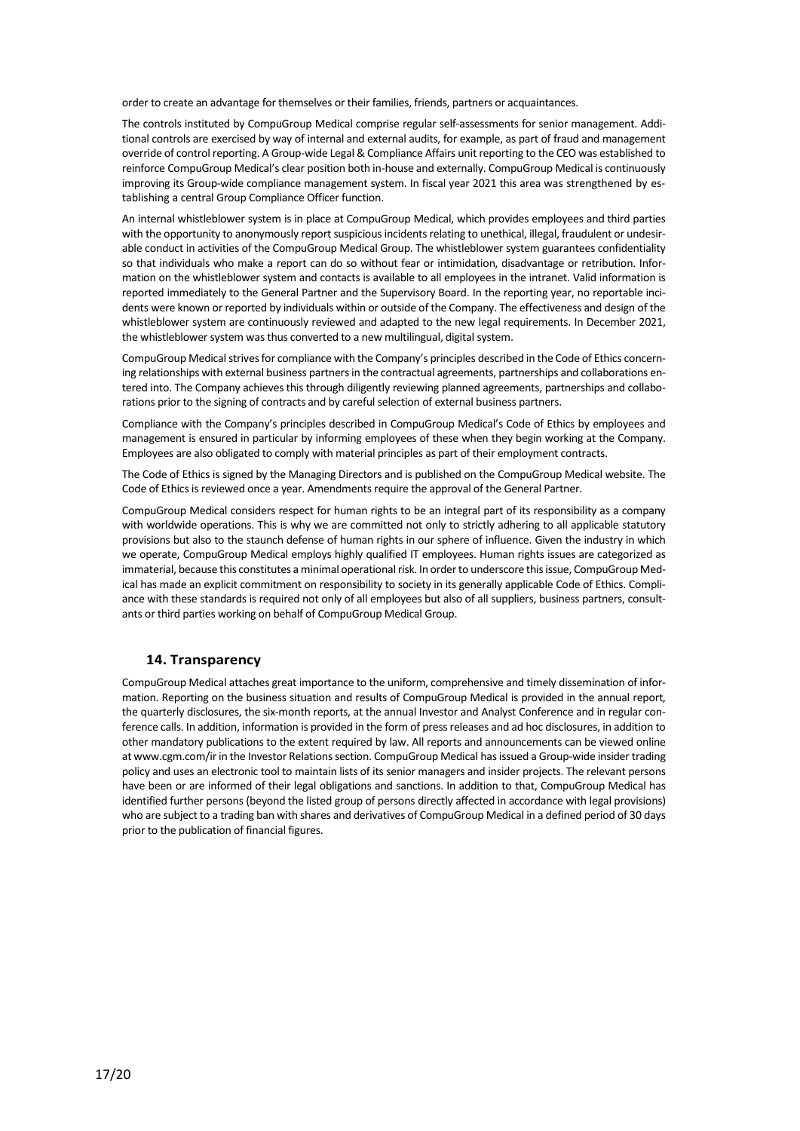order to create an advantage for themselves or their families, friends, partners or acquaintances.

The controls instituted by CompuGroup Medical comprise regular self-assessments for senior management. Additional controls are exercised by way of internal and external audits, for example, as part of fraud and management override of control reporting. A Group-wide Legal & Compliance Affairs unit reporting to the CEO was established to reinforce CompuGroup Medical's clear position both in-house and externally. CompuGroup Medical is continuously improving its Group-wide compliance management system. In fiscal year 2021 this area was strengthened by establishing a central Group Compliance Officer function.

An internal whistleblower system is in place at CompuGroup Medical, which provides employees and third parties with the opportunity to anonymously report suspicious incidents relating to unethical, illegal, fraudulent or undesirable conduct in activities of the CompuGroup Medical Group. The whistleblower system guarantees confidentiality so that individuals who make a report can do so without fear or intimidation, disadvantage or retribution. Information on the whistleblower system and contacts is available to all employees in the intranet. Valid information is reported immediately to the General Partner and the Supervisory Board. In the reporting year, no reportable incidents were known or reported by individuals within or outside of the Company. The effectiveness and design of the whistleblower system are continuously reviewed and adapted to the new legal requirements. In December 2021, the whistleblower system was thus converted to a new multilingual, digital system.

CompuGroup Medical strives for compliance with the Company's principles described in the Code of Ethics concerning relationships with external business partners in the contractual agreements, partnerships and collaborations entered into. The Company achieves this through diligently reviewing planned agreements, partnerships and collaborations prior to the signing of contracts and by careful selection of external business partners.

Compliance with the Company's principles described in CompuGroup Medical's Code of Ethics by employees and management is ensured in particular by informing employees of these when they begin working at the Company. Employees are also obligated to comply with material principles as part of their employment contracts.

The Code of Ethics is signed by the Managing Directors and is published on the CompuGroup Medical website. The Code of Ethics is reviewed once a year. Amendments require the approval of the General Partner.

CompuGroup Medical considers respect for human rights to be an integral part of its responsibility as a company with worldwide operations. This is why we are committed not only to strictly adhering to all applicable statutory provisions but also to the staunch defense of human rights in our sphere of influence. Given the industry in which we operate, CompuGroup Medical employs highly qualified IT employees. Human rights issues are categorized as immaterial, because this constitutes a minimal operational risk. In order to underscore this issue, CompuGroup Medical has made an explicit commitment on responsibility to society in its generally applicable Code of Ethics. Compliance with these standards is required not only of all employees but also of all suppliers, business partners, consultants or third parties working on behalf of CompuGroup Medical Group.

## **14. Transparency**

CompuGroup Medical attaches great importance to the uniform, comprehensive and timely dissemination of information. Reporting on the business situation and results of CompuGroup Medical is provided in the annual report, the quarterly disclosures, the six-month reports, at the annual Investor and Analyst Conference and in regular conference calls. In addition, information is provided in the form of press releases and ad hoc disclosures, in addition to other mandatory publications to the extent required by law. All reports and announcements can be viewed online a[t www.cgm.com/ir in](http://www.cgm.com/) the Investor Relations section. CompuGroup Medical has issued a Group-wide insider trading policy and uses an electronic tool to maintain lists of its senior managers and insider projects. The relevant persons have been or are informed of their legal obligations and sanctions. In addition to that, CompuGroup Medical has identified further persons (beyond the listed group of persons directly affected in accordance with legal provisions) who are subject to a trading ban with shares and derivatives of CompuGroup Medical in a defined period of 30 days prior to the publication of financial figures.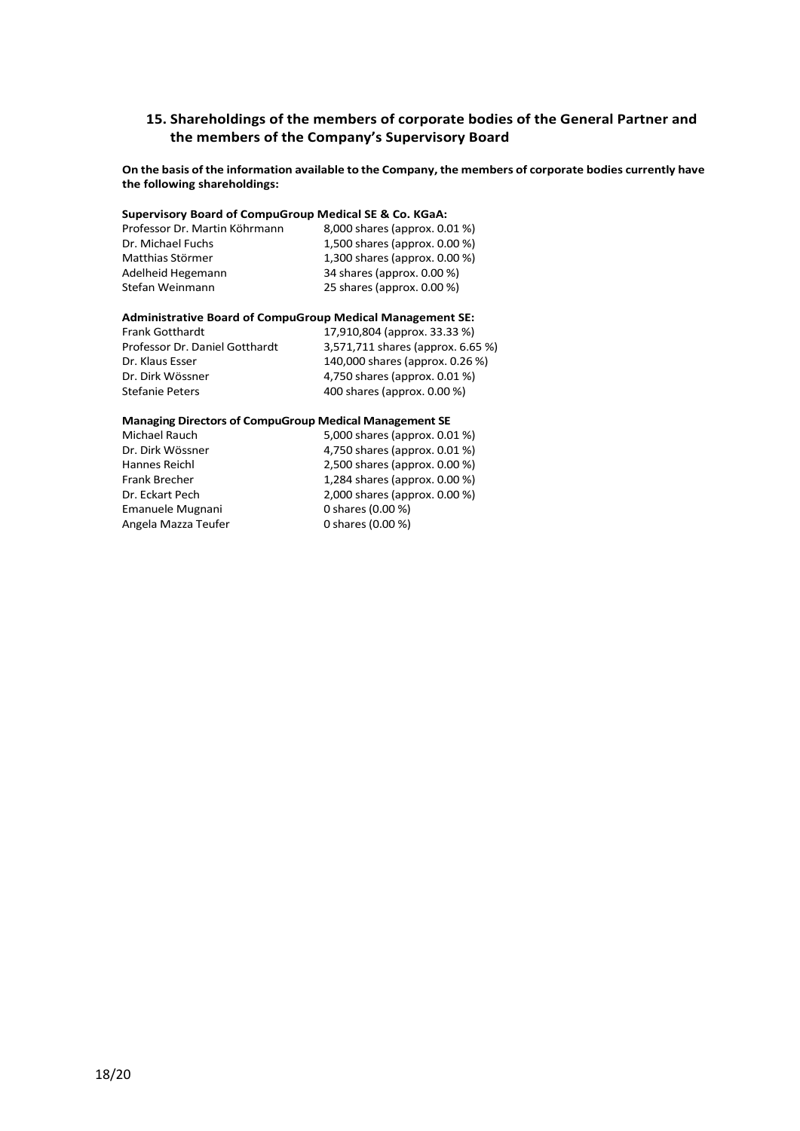# **15. Shareholdings of the members of corporate bodies of the General Partner and the members of the Company's Supervisory Board**

**On the basis of the information available to the Company, the members of corporate bodies currently have the following shareholdings:**

## **Supervisory Board of CompuGroup Medical SE & Co. KGaA:**

| Professor Dr. Martin Köhrmann | 8,000 shares (approx. 0.01 %)    |
|-------------------------------|----------------------------------|
| Dr. Michael Fuchs             | 1,500 shares (approx. $0.00\%$ ) |
| Matthias Störmer              | 1,300 shares (approx. 0.00 %)    |
| Adelheid Hegemann             | 34 shares (approx. 0.00 %)       |
| Stefan Weinmann               | 25 shares (approx. 0.00 %)       |

# **Administrative Board of CompuGroup Medical Management SE:**

Frank Gotthardt 17,910,804 (approx. 33.33 %)<br>Professor Dr. Daniel Gotthardt 3,571,711 shares (approx. 6.6 3,571,711 shares (approx. 6.65 %) Dr. Klaus Esser 140,000 shares (approx. 0.26 %) Dr. Dirk Wössner 4,750 shares (approx. 0.01 %) Stefanie Peters 400 shares (approx. 0.00 %)

#### **Managing Directors of CompuGroup Medical Management SE**

| Michael Rauch        | 5,000 shares (approx. 0.01 %) |
|----------------------|-------------------------------|
| Dr. Dirk Wössner     | 4,750 shares (approx. 0.01 %) |
| Hannes Reichl        | 2,500 shares (approx. 0.00 %) |
| <b>Frank Brecher</b> | 1,284 shares (approx. 0.00 %) |
| Dr. Eckart Pech      | 2,000 shares (approx. 0.00 %) |
| Emanuele Mugnani     | 0 shares (0.00 %)             |
| Angela Mazza Teufer  | 0 shares (0.00 %)             |
|                      |                               |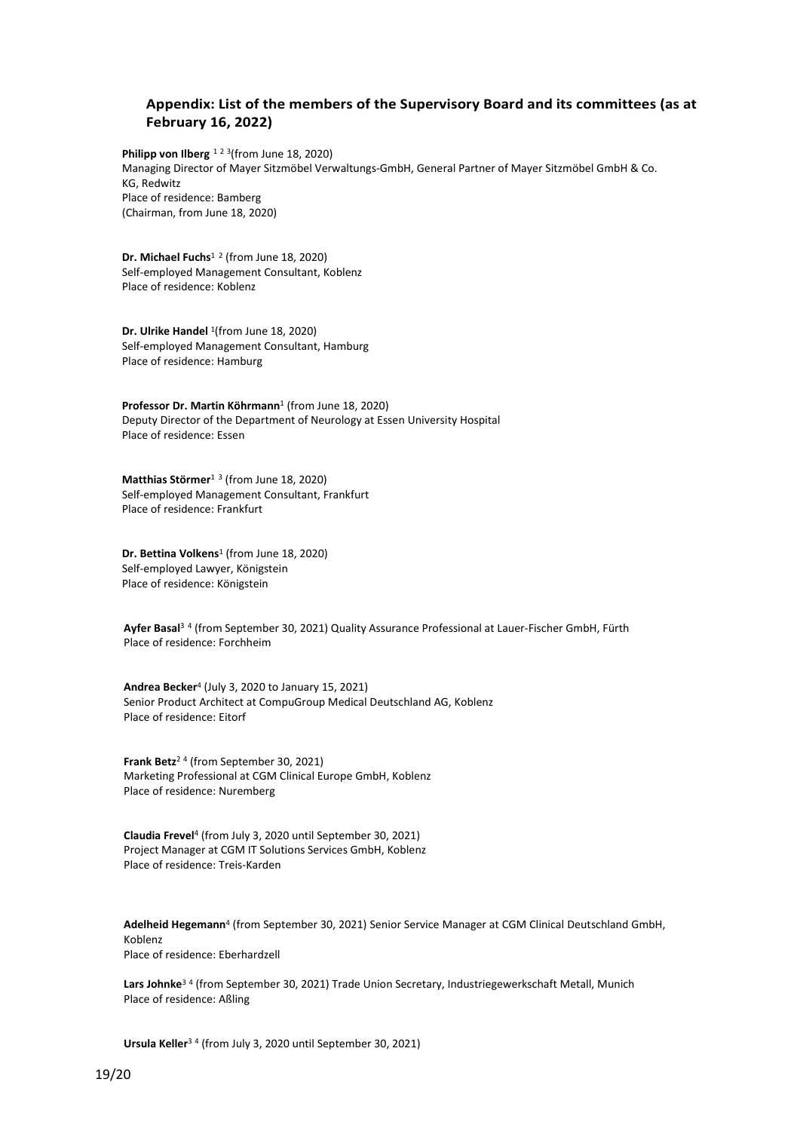# **Appendix: List of the members of the Supervisory Board and its committees (as at February 16, 2022)**

**Philipp von Ilberg** <sup>[1](#page-19-0) 2 3</sup>(from June 18, 2020) Managing Director of Mayer Sitzmöbel Verwaltungs-GmbH, General Partner of Mayer Sitzmöbel GmbH & Co. KG, Redwitz Place of residence: Bamberg (Chairman, from June 18, 2020)

**Dr. Michael Fuchs**<sup>1</sup> [2](#page-19-1) (from June 18, 2020) Self-employed Management Consultant, Koblenz Place of residence: Koblenz

**Dr. Ulrike Handel** 1(from June 18, 2020) Self-employed Management Consultant, Hamburg Place of residence: Hamburg

**Professor Dr. Martin Köhrmann**<sup>1</sup> (from June 18, 2020) Deputy Director of the Department of Neurology at Essen University Hospital Place of residence: Essen

**Matthias Störmer**<sup>1</sup> [3](#page-19-2) (from June 18, 2020) Self-employed Management Consultant, Frankfurt Place of residence: Frankfurt

**Dr. Bettina Volkens**<sup>1</sup> (from June 18, 2020) Self-employed Lawyer, Königstein Place of residence: Königstein

**Ayfer Basal**<sup>3</sup> [4](#page-19-3) (from September 30, 2021) Quality Assurance Professional at Lauer-Fischer GmbH, Fürth Place of residence: Forchheim

**Andrea Becker**<sup>4</sup> (July 3, 2020 to January 15, 2021) Senior Product Architect at CompuGroup Medical Deutschland AG, Koblenz Place of residence: Eitorf

**Frank Betz**<sup>2</sup> <sup>4</sup> (from September 30, 2021) Marketing Professional at CGM Clinical Europe GmbH, Koblenz Place of residence: Nuremberg

**Claudia Frevel**<sup>4</sup> (from July 3, 2020 until September 30, 2021) Project Manager at CGM IT Solutions Services GmbH, Koblenz Place of residence: Treis-Karden

**Adelheid Hegemann**<sup>4</sup> (from September 30, 2021) Senior Service Manager at CGM Clinical Deutschland GmbH, Koblenz Place of residence: Eberhardzell

**Lars Johnke**<sup>3</sup> <sup>4</sup> (from September 30, 2021) Trade Union Secretary, Industriegewerkschaft Metall, Munich Place of residence: Aßling

**Ursula Keller**<sup>3</sup> <sup>4</sup> (from July 3, 2020 until September 30, 2021)